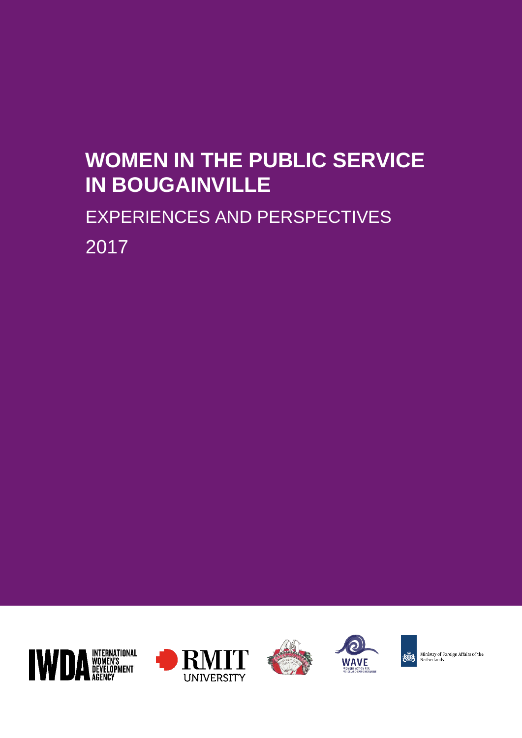# **WOMEN IN THE PUBLIC SERVICE IN BOUGAINVILLE**

# EXPERIENCES AND PERSPECTIVES 2017









Ministry of Foreign Affairs of the<br>Netherlands 兤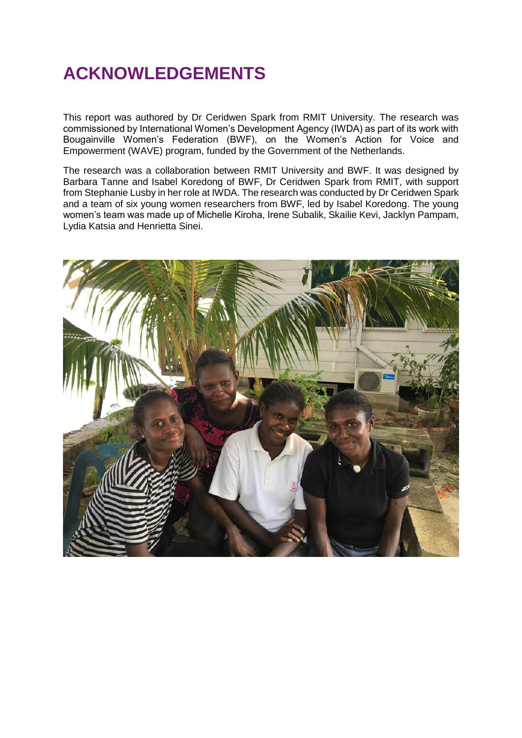## **ACKNOWLEDGEMENTS**

This report was authored by Dr Ceridwen Spark from RMIT University. The research was commissioned by International Women's Development Agency (IWDA) as part of its work with Bougainville Women's Federation (BWF), on the Women's Action for Voice and Empowerment (WAVE) program, funded by the Government of the Netherlands.

The research was a collaboration between RMIT University and BWF. It was designed by Barbara Tanne and Isabel Koredong of BWF, Dr Ceridwen Spark from RMIT, with support from Stephanie Lusby in her role at IWDA. The research was conducted by Dr Ceridwen Spark and a team of six young women researchers from BWF, led by Isabel Koredong. The young women's team was made up of Michelle Kiroha, Irene Subalik, Skailie Kevi, Jacklyn Pampam, Lydia Katsia and Henrietta Sinei.

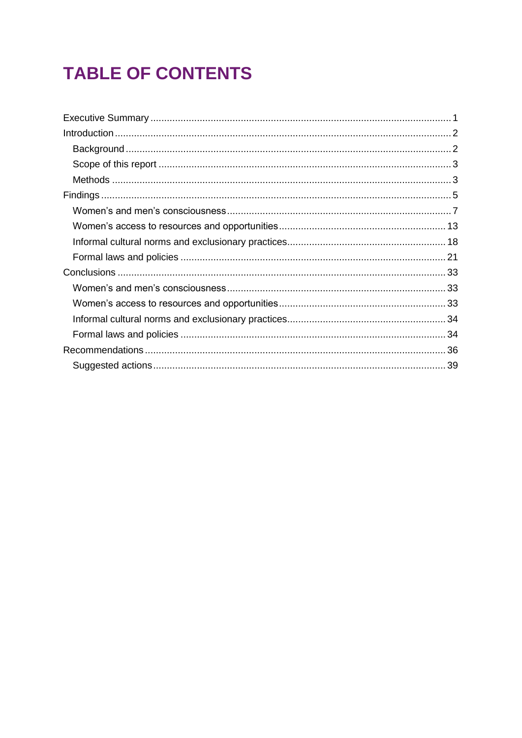## **TABLE OF CONTENTS**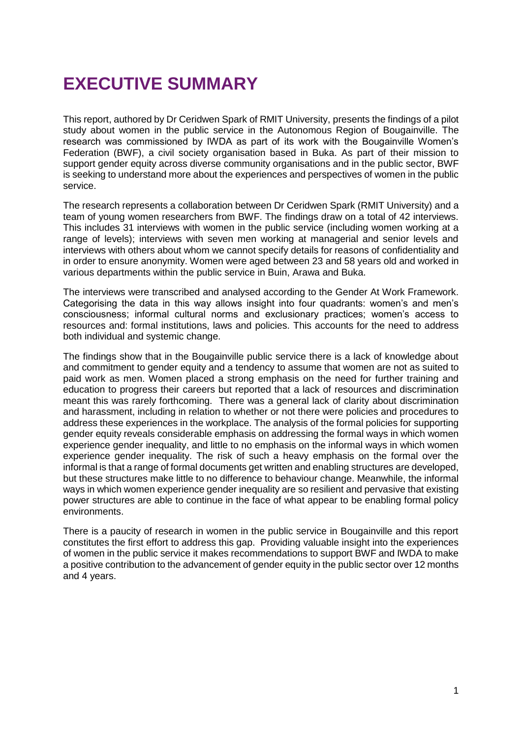## **EXECUTIVE SUMMARY**

This report, authored by Dr Ceridwen Spark of RMIT University, presents the findings of a pilot study about women in the public service in the Autonomous Region of Bougainville. The research was commissioned by IWDA as part of its work with the Bougainville Women's Federation (BWF), a civil society organisation based in Buka. As part of their mission to support gender equity across diverse community organisations and in the public sector, BWF is seeking to understand more about the experiences and perspectives of women in the public service.

The research represents a collaboration between Dr Ceridwen Spark (RMIT University) and a team of young women researchers from BWF. The findings draw on a total of 42 interviews. This includes 31 interviews with women in the public service (including women working at a range of levels); interviews with seven men working at managerial and senior levels and interviews with others about whom we cannot specify details for reasons of confidentiality and in order to ensure anonymity. Women were aged between 23 and 58 years old and worked in various departments within the public service in Buin, Arawa and Buka.

The interviews were transcribed and analysed according to the Gender At Work Framework. Categorising the data in this way allows insight into four quadrants: women's and men's consciousness; informal cultural norms and exclusionary practices; women's access to resources and: formal institutions, laws and policies. This accounts for the need to address both individual and systemic change.

The findings show that in the Bougainville public service there is a lack of knowledge about and commitment to gender equity and a tendency to assume that women are not as suited to paid work as men. Women placed a strong emphasis on the need for further training and education to progress their careers but reported that a lack of resources and discrimination meant this was rarely forthcoming. There was a general lack of clarity about discrimination and harassment, including in relation to whether or not there were policies and procedures to address these experiences in the workplace. The analysis of the formal policies for supporting gender equity reveals considerable emphasis on addressing the formal ways in which women experience gender inequality, and little to no emphasis on the informal ways in which women experience gender inequality. The risk of such a heavy emphasis on the formal over the informal is that a range of formal documents get written and enabling structures are developed, but these structures make little to no difference to behaviour change. Meanwhile, the informal ways in which women experience gender inequality are so resilient and pervasive that existing power structures are able to continue in the face of what appear to be enabling formal policy environments.

There is a paucity of research in women in the public service in Bougainville and this report constitutes the first effort to address this gap. Providing valuable insight into the experiences of women in the public service it makes recommendations to support BWF and IWDA to make a positive contribution to the advancement of gender equity in the public sector over 12 months and 4 years.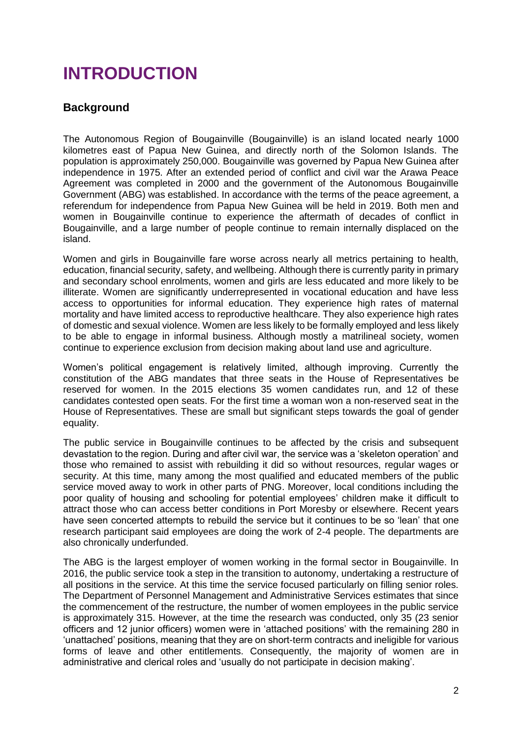## **INTRODUCTION**

#### **Background**

The Autonomous Region of Bougainville (Bougainville) is an island located nearly 1000 kilometres east of Papua New Guinea, and directly north of the Solomon Islands. The population is approximately 250,000. Bougainville was governed by Papua New Guinea after independence in 1975. After an extended period of conflict and civil war the Arawa Peace Agreement was completed in 2000 and the government of the Autonomous Bougainville Government (ABG) was established. In accordance with the terms of the peace agreement, a referendum for independence from Papua New Guinea will be held in 2019. Both men and women in Bougainville continue to experience the aftermath of decades of conflict in Bougainville, and a large number of people continue to remain internally displaced on the island.

Women and girls in Bougainville fare worse across nearly all metrics pertaining to health, education, financial security, safety, and wellbeing. Although there is currently parity in primary and secondary school enrolments, women and girls are less educated and more likely to be illiterate. Women are significantly underrepresented in vocational education and have less access to opportunities for informal education. They experience high rates of maternal mortality and have limited access to reproductive healthcare. They also experience high rates of domestic and sexual violence. Women are less likely to be formally employed and less likely to be able to engage in informal business. Although mostly a matrilineal society, women continue to experience exclusion from decision making about land use and agriculture.

Women's political engagement is relatively limited, although improving. Currently the constitution of the ABG mandates that three seats in the House of Representatives be reserved for women. In the 2015 elections 35 women candidates run, and 12 of these candidates contested open seats. For the first time a woman won a non-reserved seat in the House of Representatives. These are small but significant steps towards the goal of gender equality.

The public service in Bougainville continues to be affected by the crisis and subsequent devastation to the region. During and after civil war, the service was a 'skeleton operation' and those who remained to assist with rebuilding it did so without resources, regular wages or security. At this time, many among the most qualified and educated members of the public service moved away to work in other parts of PNG. Moreover, local conditions including the poor quality of housing and schooling for potential employees' children make it difficult to attract those who can access better conditions in Port Moresby or elsewhere. Recent years have seen concerted attempts to rebuild the service but it continues to be so 'lean' that one research participant said employees are doing the work of 2-4 people. The departments are also chronically underfunded.

The ABG is the largest employer of women working in the formal sector in Bougainville. In 2016, the public service took a step in the transition to autonomy, undertaking a restructure of all positions in the service. At this time the service focused particularly on filling senior roles. The Department of Personnel Management and Administrative Services estimates that since the commencement of the restructure, the number of women employees in the public service is approximately 315. However, at the time the research was conducted, only 35 (23 senior officers and 12 junior officers) women were in 'attached positions' with the remaining 280 in 'unattached' positions, meaning that they are on short-term contracts and ineligible for various forms of leave and other entitlements. Consequently, the majority of women are in administrative and clerical roles and 'usually do not participate in decision making'.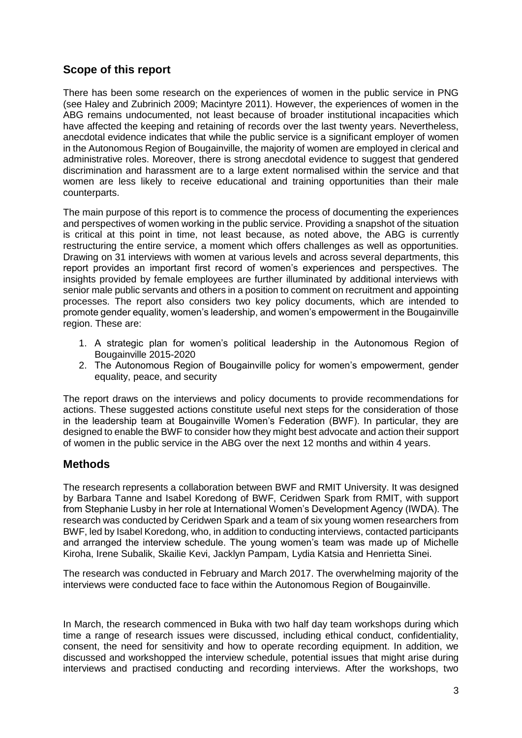#### **Scope of this report**

There has been some research on the experiences of women in the public service in PNG (see Haley and Zubrinich 2009; Macintyre 2011). However, the experiences of women in the ABG remains undocumented, not least because of broader institutional incapacities which have affected the keeping and retaining of records over the last twenty years. Nevertheless, anecdotal evidence indicates that while the public service is a significant employer of women in the Autonomous Region of Bougainville, the majority of women are employed in clerical and administrative roles. Moreover, there is strong anecdotal evidence to suggest that gendered discrimination and harassment are to a large extent normalised within the service and that women are less likely to receive educational and training opportunities than their male counterparts.

The main purpose of this report is to commence the process of documenting the experiences and perspectives of women working in the public service. Providing a snapshot of the situation is critical at this point in time, not least because, as noted above, the ABG is currently restructuring the entire service, a moment which offers challenges as well as opportunities. Drawing on 31 interviews with women at various levels and across several departments, this report provides an important first record of women's experiences and perspectives. The insights provided by female employees are further illuminated by additional interviews with senior male public servants and others in a position to comment on recruitment and appointing processes. The report also considers two key policy documents, which are intended to promote gender equality, women's leadership, and women's empowerment in the Bougainville region. These are:

- 1. A strategic plan for women's political leadership in the Autonomous Region of Bougainville 2015-2020
- 2. The Autonomous Region of Bougainville policy for women's empowerment, gender equality, peace, and security

The report draws on the interviews and policy documents to provide recommendations for actions. These suggested actions constitute useful next steps for the consideration of those in the leadership team at Bougainville Women's Federation (BWF). In particular, they are designed to enable the BWF to consider how they might best advocate and action their support of women in the public service in the ABG over the next 12 months and within 4 years.

#### **Methods**

The research represents a collaboration between BWF and RMIT University. It was designed by Barbara Tanne and Isabel Koredong of BWF, Ceridwen Spark from RMIT, with support from Stephanie Lusby in her role at International Women's Development Agency (IWDA). The research was conducted by Ceridwen Spark and a team of six young women researchers from BWF, led by Isabel Koredong, who, in addition to conducting interviews, contacted participants and arranged the interview schedule. The young women's team was made up of Michelle Kiroha, Irene Subalik, Skailie Kevi, Jacklyn Pampam, Lydia Katsia and Henrietta Sinei.

The research was conducted in February and March 2017. The overwhelming majority of the interviews were conducted face to face within the Autonomous Region of Bougainville.

In March, the research commenced in Buka with two half day team workshops during which time a range of research issues were discussed, including ethical conduct, confidentiality, consent, the need for sensitivity and how to operate recording equipment. In addition, we discussed and workshopped the interview schedule, potential issues that might arise during interviews and practised conducting and recording interviews. After the workshops, two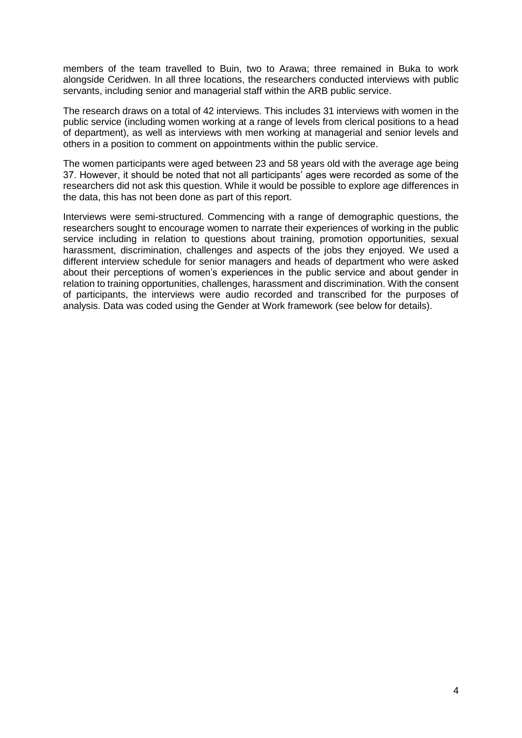members of the team travelled to Buin, two to Arawa; three remained in Buka to work alongside Ceridwen. In all three locations, the researchers conducted interviews with public servants, including senior and managerial staff within the ARB public service.

The research draws on a total of 42 interviews. This includes 31 interviews with women in the public service (including women working at a range of levels from clerical positions to a head of department), as well as interviews with men working at managerial and senior levels and others in a position to comment on appointments within the public service.

The women participants were aged between 23 and 58 years old with the average age being 37. However, it should be noted that not all participants' ages were recorded as some of the researchers did not ask this question. While it would be possible to explore age differences in the data, this has not been done as part of this report.

Interviews were semi-structured. Commencing with a range of demographic questions, the researchers sought to encourage women to narrate their experiences of working in the public service including in relation to questions about training, promotion opportunities, sexual harassment, discrimination, challenges and aspects of the jobs they enjoyed. We used a different interview schedule for senior managers and heads of department who were asked about their perceptions of women's experiences in the public service and about gender in relation to training opportunities, challenges, harassment and discrimination. With the consent of participants, the interviews were audio recorded and transcribed for the purposes of analysis. Data was coded using the Gender at Work framework (see below for details).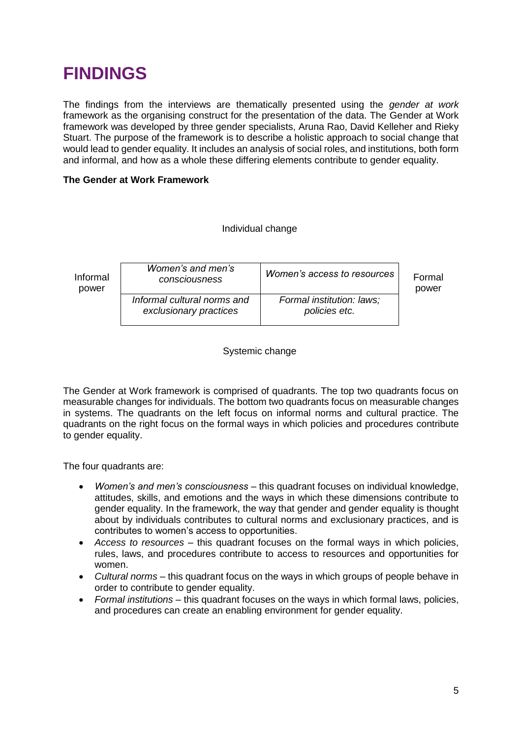## **FINDINGS**

The findings from the interviews are thematically presented using the *gender at work* framework as the organising construct for the presentation of the data. The Gender at Work framework was developed by three gender specialists, Aruna Rao, David Kelleher and Rieky Stuart. The purpose of the framework is to describe a holistic approach to social change that would lead to gender equality. It includes an analysis of social roles, and institutions, both form and informal, and how as a whole these differing elements contribute to gender equality.

#### **The Gender at Work Framework**

#### Individual change

| Informal | Women's and men's                                     | Women's access to resources                | Formal |
|----------|-------------------------------------------------------|--------------------------------------------|--------|
| power    | consciousness                                         |                                            | power  |
|          | Informal cultural norms and<br>exclusionary practices | Formal institution: laws;<br>policies etc. |        |

Systemic change

The Gender at Work framework is comprised of quadrants. The top two quadrants focus on measurable changes for individuals. The bottom two quadrants focus on measurable changes in systems. The quadrants on the left focus on informal norms and cultural practice. The quadrants on the right focus on the formal ways in which policies and procedures contribute to gender equality.

The four quadrants are:

- *Women's and men's consciousness* this quadrant focuses on individual knowledge, attitudes, skills, and emotions and the ways in which these dimensions contribute to gender equality. In the framework, the way that gender and gender equality is thought about by individuals contributes to cultural norms and exclusionary practices, and is contributes to women's access to opportunities.
- *Access to resources* this quadrant focuses on the formal ways in which policies, rules, laws, and procedures contribute to access to resources and opportunities for women.
- *Cultural norms* this quadrant focus on the ways in which groups of people behave in order to contribute to gender equality.
- *Formal institutions* this quadrant focuses on the ways in which formal laws, policies, and procedures can create an enabling environment for gender equality.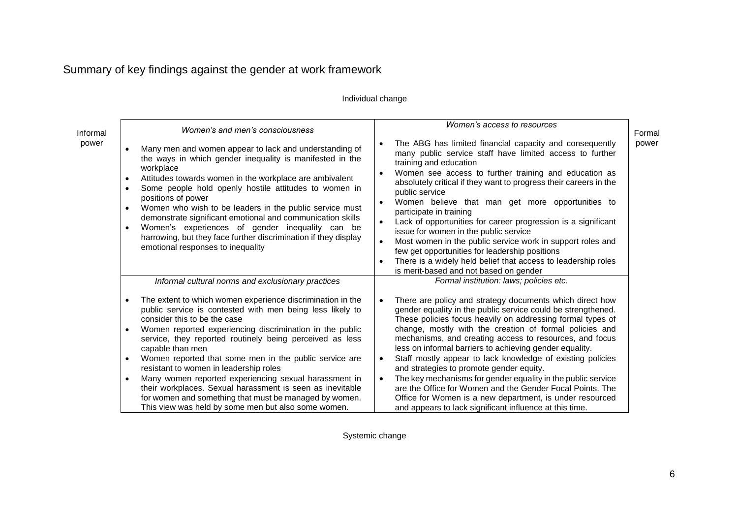### Summary of key findings against the gender at work framework

#### Individual change

| Informal | Women's and men's consciousness                                                                                                                                                                                                                                                                                                                                                                                                                                                                                                                                                                                   | Women's access to resources                                                                                                                                                                                                                                                                                                                                                                                                                                                                                                                                                                                                                                                                                                    | Formal |
|----------|-------------------------------------------------------------------------------------------------------------------------------------------------------------------------------------------------------------------------------------------------------------------------------------------------------------------------------------------------------------------------------------------------------------------------------------------------------------------------------------------------------------------------------------------------------------------------------------------------------------------|--------------------------------------------------------------------------------------------------------------------------------------------------------------------------------------------------------------------------------------------------------------------------------------------------------------------------------------------------------------------------------------------------------------------------------------------------------------------------------------------------------------------------------------------------------------------------------------------------------------------------------------------------------------------------------------------------------------------------------|--------|
| power    | Many men and women appear to lack and understanding of<br>the ways in which gender inequality is manifested in the<br>workplace<br>Attitudes towards women in the workplace are ambivalent<br>$\bullet$<br>Some people hold openly hostile attitudes to women in<br>$\bullet$<br>positions of power<br>Women who wish to be leaders in the public service must<br>$\bullet$<br>demonstrate significant emotional and communication skills<br>Women's experiences of gender inequality can be<br>$\bullet$<br>harrowing, but they face further discrimination if they display<br>emotional responses to inequality | The ABG has limited financial capacity and consequently<br>many public service staff have limited access to further<br>training and education<br>Women see access to further training and education as<br>absolutely critical if they want to progress their careers in the<br>public service<br>Women believe that man get more opportunities to<br>$\bullet$<br>participate in training<br>Lack of opportunities for career progression is a significant<br>issue for women in the public service<br>Most women in the public service work in support roles and<br>few get opportunities for leadership positions<br>There is a widely held belief that access to leadership roles<br>is merit-based and not based on gender | power  |
|          | Informal cultural norms and exclusionary practices                                                                                                                                                                                                                                                                                                                                                                                                                                                                                                                                                                | Formal institution: laws; policies etc.                                                                                                                                                                                                                                                                                                                                                                                                                                                                                                                                                                                                                                                                                        |        |
|          | The extent to which women experience discrimination in the<br>٠<br>public service is contested with men being less likely to<br>consider this to be the case<br>Women reported experiencing discrimination in the public<br>$\bullet$<br>service, they reported routinely being perceived as less<br>capable than men<br>Women reported that some men in the public service are<br>$\bullet$<br>resistant to women in leadership roles<br>Many women reported experiencing sexual harassment in<br>$\bullet$<br>their workplaces. Sexual harassment is seen as inevitable                                         | There are policy and strategy documents which direct how<br>gender equality in the public service could be strengthened.<br>These policies focus heavily on addressing formal types of<br>change, mostly with the creation of formal policies and<br>mechanisms, and creating access to resources, and focus<br>less on informal barriers to achieving gender equality.<br>Staff mostly appear to lack knowledge of existing policies<br>and strategies to promote gender equity.<br>The key mechanisms for gender equality in the public service<br>are the Office for Women and the Gender Focal Points. The                                                                                                                 |        |
|          | for women and something that must be managed by women.<br>This view was held by some men but also some women.                                                                                                                                                                                                                                                                                                                                                                                                                                                                                                     | Office for Women is a new department, is under resourced<br>and appears to lack significant influence at this time.                                                                                                                                                                                                                                                                                                                                                                                                                                                                                                                                                                                                            |        |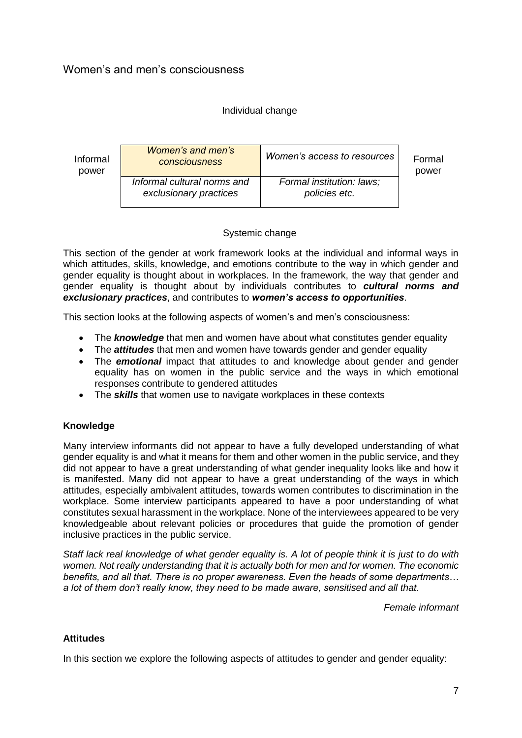#### Individual change



power

#### Systemic change

This section of the gender at work framework looks at the individual and informal ways in which attitudes, skills, knowledge, and emotions contribute to the way in which gender and gender equality is thought about in workplaces. In the framework, the way that gender and gender equality is thought about by individuals contributes to *cultural norms and exclusionary practices*, and contributes to *women's access to opportunities*.

This section looks at the following aspects of women's and men's consciousness:

- The **knowledge** that men and women have about what constitutes gender equality
- The *attitudes* that men and women have towards gender and gender equality
- The **emotional** impact that attitudes to and knowledge about gender and gender equality has on women in the public service and the ways in which emotional responses contribute to gendered attitudes
- The *skills* that women use to navigate workplaces in these contexts

#### **Knowledge**

Many interview informants did not appear to have a fully developed understanding of what gender equality is and what it means for them and other women in the public service, and they did not appear to have a great understanding of what gender inequality looks like and how it is manifested. Many did not appear to have a great understanding of the ways in which attitudes, especially ambivalent attitudes, towards women contributes to discrimination in the workplace. Some interview participants appeared to have a poor understanding of what constitutes sexual harassment in the workplace. None of the interviewees appeared to be very knowledgeable about relevant policies or procedures that guide the promotion of gender inclusive practices in the public service.

*Staff lack real knowledge of what gender equality is. A lot of people think it is just to do with women. Not really understanding that it is actually both for men and for women. The economic benefits, and all that. There is no proper awareness. Even the heads of some departments… a lot of them don't really know, they need to be made aware, sensitised and all that.*

*Female informant*

#### **Attitudes**

In this section we explore the following aspects of attitudes to gender and gender equality: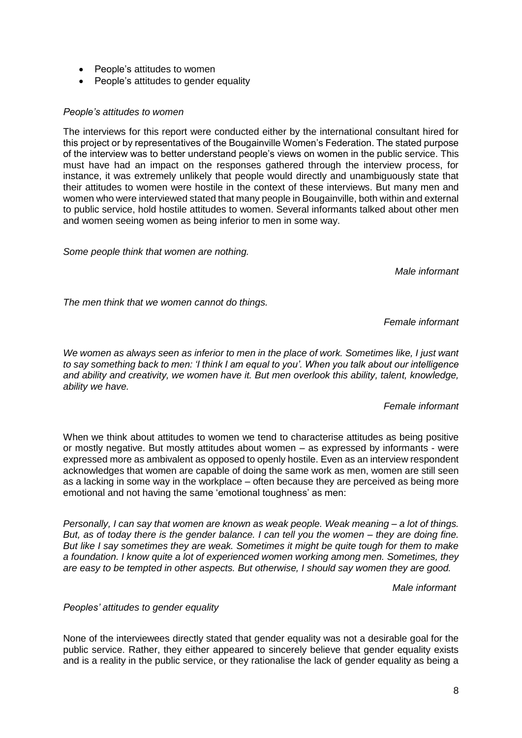- People's attitudes to women
- People's attitudes to gender equality

#### *People's attitudes to women*

The interviews for this report were conducted either by the international consultant hired for this project or by representatives of the Bougainville Women's Federation. The stated purpose of the interview was to better understand people's views on women in the public service. This must have had an impact on the responses gathered through the interview process, for instance, it was extremely unlikely that people would directly and unambiguously state that their attitudes to women were hostile in the context of these interviews. But many men and women who were interviewed stated that many people in Bougainville, both within and external to public service, hold hostile attitudes to women. Several informants talked about other men and women seeing women as being inferior to men in some way.

*Some people think that women are nothing.* 

*Male informant*

*The men think that we women cannot do things.*

*Female informant*

*We women as always seen as inferior to men in the place of work. Sometimes like, I just want to say something back to men: 'I think I am equal to you'. When you talk about our intelligence and ability and creativity, we women have it. But men overlook this ability, talent, knowledge, ability we have.* 

#### *Female informant*

When we think about attitudes to women we tend to characterise attitudes as being positive or mostly negative. But mostly attitudes about women – as expressed by informants - were expressed more as ambivalent as opposed to openly hostile. Even as an interview respondent acknowledges that women are capable of doing the same work as men, women are still seen as a lacking in some way in the workplace – often because they are perceived as being more emotional and not having the same 'emotional toughness' as men:

*Personally, I can say that women are known as weak people. Weak meaning – a lot of things. But, as of today there is the gender balance. I can tell you the women – they are doing fine. But like I say sometimes they are weak. Sometimes it might be quite tough for them to make a foundation. I know quite a lot of experienced women working among men. Sometimes, they are easy to be tempted in other aspects. But otherwise, I should say women they are good.*

*Male informant*

*Peoples' attitudes to gender equality*

None of the interviewees directly stated that gender equality was not a desirable goal for the public service. Rather, they either appeared to sincerely believe that gender equality exists and is a reality in the public service, or they rationalise the lack of gender equality as being a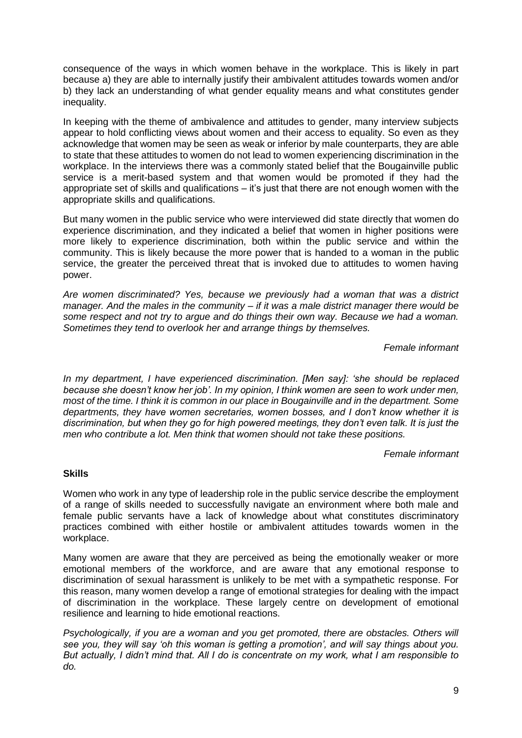consequence of the ways in which women behave in the workplace. This is likely in part because a) they are able to internally justify their ambivalent attitudes towards women and/or b) they lack an understanding of what gender equality means and what constitutes gender inequality.

In keeping with the theme of ambivalence and attitudes to gender, many interview subjects appear to hold conflicting views about women and their access to equality. So even as they acknowledge that women may be seen as weak or inferior by male counterparts, they are able to state that these attitudes to women do not lead to women experiencing discrimination in the workplace. In the interviews there was a commonly stated belief that the Bougainville public service is a merit-based system and that women would be promoted if they had the appropriate set of skills and qualifications – it's just that there are not enough women with the appropriate skills and qualifications.

But many women in the public service who were interviewed did state directly that women do experience discrimination, and they indicated a belief that women in higher positions were more likely to experience discrimination, both within the public service and within the community. This is likely because the more power that is handed to a woman in the public service, the greater the perceived threat that is invoked due to attitudes to women having power.

*Are women discriminated? Yes, because we previously had a woman that was a district manager. And the males in the community – if it was a male district manager there would be some respect and not try to argue and do things their own way. Because we had a woman. Sometimes they tend to overlook her and arrange things by themselves.* 

*Female informant* 

*In my department, I have experienced discrimination. [Men say]: 'she should be replaced because she doesn't know her job'. In my opinion, I think women are seen to work under men, most of the time. I think it is common in our place in Bougainville and in the department. Some departments, they have women secretaries, women bosses, and I don't know whether it is discrimination, but when they go for high powered meetings, they don't even talk. It is just the men who contribute a lot. Men think that women should not take these positions.*

*Female informant*

#### **Skills**

Women who work in any type of leadership role in the public service describe the employment of a range of skills needed to successfully navigate an environment where both male and female public servants have a lack of knowledge about what constitutes discriminatory practices combined with either hostile or ambivalent attitudes towards women in the workplace.

Many women are aware that they are perceived as being the emotionally weaker or more emotional members of the workforce, and are aware that any emotional response to discrimination of sexual harassment is unlikely to be met with a sympathetic response. For this reason, many women develop a range of emotional strategies for dealing with the impact of discrimination in the workplace. These largely centre on development of emotional resilience and learning to hide emotional reactions.

*Psychologically, if you are a woman and you get promoted, there are obstacles. Others will see you, they will say 'oh this woman is getting a promotion', and will say things about you. But actually, I didn't mind that. All I do is concentrate on my work, what I am responsible to do.*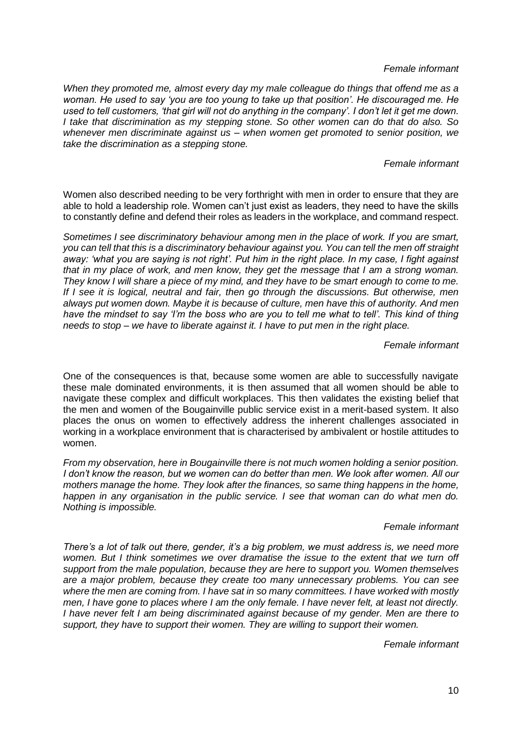*Female informant* 

*When they promoted me, almost every day my male colleague do things that offend me as a woman. He used to say 'you are too young to take up that position'. He discouraged me. He used to tell customers, 'that girl will not do anything in the company'. I don't let it get me down. I take that discrimination as my stepping stone. So other women can do that do also. So whenever men discriminate against us – when women get promoted to senior position, we take the discrimination as a stepping stone.* 

#### *Female informant*

Women also described needing to be very forthright with men in order to ensure that they are able to hold a leadership role. Women can't just exist as leaders, they need to have the skills to constantly define and defend their roles as leaders in the workplace, and command respect.

*Sometimes I see discriminatory behaviour among men in the place of work. If you are smart, you can tell that this is a discriminatory behaviour against you. You can tell the men off straight away: 'what you are saying is not right'. Put him in the right place. In my case, I fight against that in my place of work, and men know, they get the message that I am a strong woman. They know I will share a piece of my mind, and they have to be smart enough to come to me. If I see it is logical, neutral and fair, then go through the discussions. But otherwise, men always put women down. Maybe it is because of culture, men have this of authority. And men have the mindset to say 'I'm the boss who are you to tell me what to tell'. This kind of thing needs to stop – we have to liberate against it. I have to put men in the right place.*

*Female informant*

One of the consequences is that, because some women are able to successfully navigate these male dominated environments, it is then assumed that all women should be able to navigate these complex and difficult workplaces. This then validates the existing belief that the men and women of the Bougainville public service exist in a merit-based system. It also places the onus on women to effectively address the inherent challenges associated in working in a workplace environment that is characterised by ambivalent or hostile attitudes to women.

*From my observation, here in Bougainville there is not much women holding a senior position. I don't know the reason, but we women can do better than men. We look after women. All our mothers manage the home. They look after the finances, so same thing happens in the home, happen in any organisation in the public service. I see that woman can do what men do. Nothing is impossible.*

#### *Female informant*

*There's a lot of talk out there, gender, it's a big problem, we must address is, we need more women. But I think sometimes we over dramatise the issue to the extent that we turn off support from the male population, because they are here to support you. Women themselves are a major problem, because they create too many unnecessary problems. You can see where the men are coming from. I have sat in so many committees. I have worked with mostly men, I have gone to places where I am the only female. I have never felt, at least not directly. I have never felt I am being discriminated against because of my gender. Men are there to support, they have to support their women. They are willing to support their women.*

*Female informant*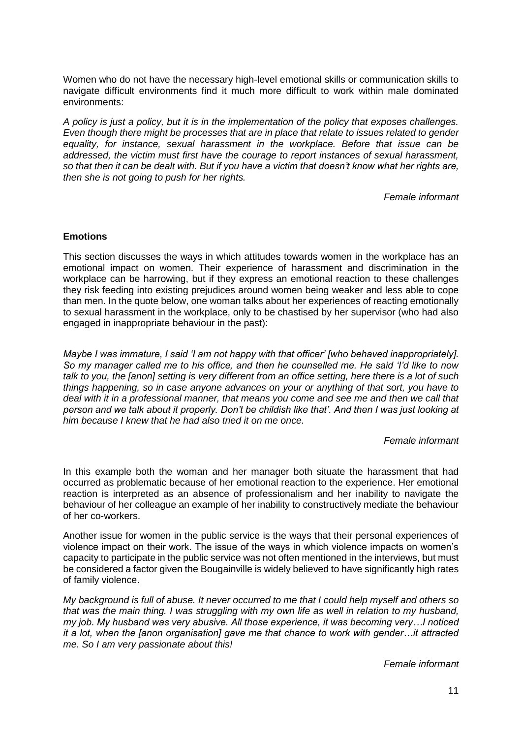Women who do not have the necessary high-level emotional skills or communication skills to navigate difficult environments find it much more difficult to work within male dominated environments:

*A policy is just a policy, but it is in the implementation of the policy that exposes challenges. Even though there might be processes that are in place that relate to issues related to gender equality, for instance, sexual harassment in the workplace. Before that issue can be addressed, the victim must first have the courage to report instances of sexual harassment, so that then it can be dealt with. But if you have a victim that doesn't know what her rights are, then she is not going to push for her rights.*

*Female informant*

#### **Emotions**

This section discusses the ways in which attitudes towards women in the workplace has an emotional impact on women. Their experience of harassment and discrimination in the workplace can be harrowing, but if they express an emotional reaction to these challenges they risk feeding into existing prejudices around women being weaker and less able to cope than men. In the quote below, one woman talks about her experiences of reacting emotionally to sexual harassment in the workplace, only to be chastised by her supervisor (who had also engaged in inappropriate behaviour in the past):

*Maybe I was immature, I said 'I am not happy with that officer' [who behaved inappropriately]. So my manager called me to his office, and then he counselled me. He said 'I'd like to now talk to you, the [anon] setting is very different from an office setting, here there is a lot of such things happening, so in case anyone advances on your or anything of that sort, you have to deal with it in a professional manner, that means you come and see me and then we call that person and we talk about it properly. Don't be childish like that'. And then I was just looking at him because I knew that he had also tried it on me once.*

#### *Female informant*

In this example both the woman and her manager both situate the harassment that had occurred as problematic because of her emotional reaction to the experience. Her emotional reaction is interpreted as an absence of professionalism and her inability to navigate the behaviour of her colleague an example of her inability to constructively mediate the behaviour of her co-workers.

Another issue for women in the public service is the ways that their personal experiences of violence impact on their work. The issue of the ways in which violence impacts on women's capacity to participate in the public service was not often mentioned in the interviews, but must be considered a factor given the Bougainville is widely believed to have significantly high rates of family violence.

*My background is full of abuse. It never occurred to me that I could help myself and others so that was the main thing. I was struggling with my own life as well in relation to my husband, my job. My husband was very abusive. All those experience, it was becoming very…I noticed it a lot, when the [anon organisation] gave me that chance to work with gender…it attracted me. So I am very passionate about this!*

*Female informant*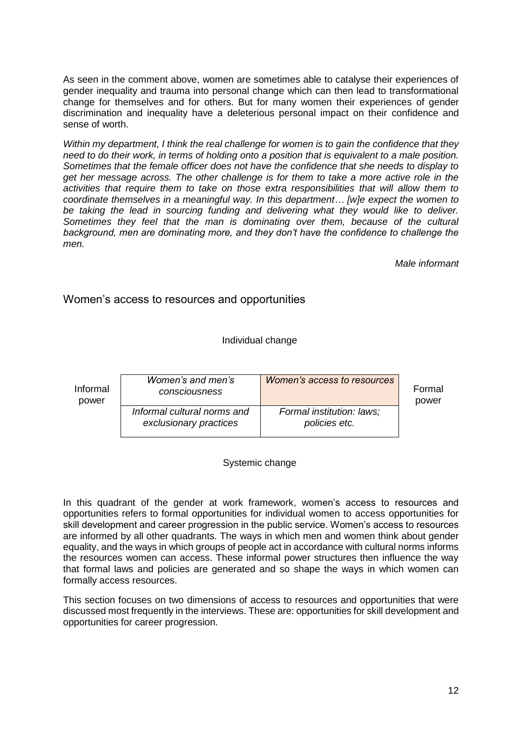As seen in the comment above, women are sometimes able to catalyse their experiences of gender inequality and trauma into personal change which can then lead to transformational change for themselves and for others. But for many women their experiences of gender discrimination and inequality have a deleterious personal impact on their confidence and sense of worth.

*Within my department, I think the real challenge for women is to gain the confidence that they need to do their work, in terms of holding onto a position that is equivalent to a male position. Sometimes that the female officer does not have the confidence that she needs to display to get her message across. The other challenge is for them to take a more active role in the activities that require them to take on those extra responsibilities that will allow them to coordinate themselves in a meaningful way. In this department… [w]e expect the women to*  be taking the lead in sourcing funding and delivering what they would like to deliver. *Sometimes they feel that the man is dominating over them, because of the cultural background, men are dominating more, and they don't have the confidence to challenge the men.* 

*Male informant*

Women's access to resources and opportunities

Individual change

| Informal | Women's and men's                                     | Women's access to resources                | Formal |
|----------|-------------------------------------------------------|--------------------------------------------|--------|
| power    | consciousness                                         |                                            | power  |
|          | Informal cultural norms and<br>exclusionary practices | Formal institution: laws;<br>policies etc. |        |

Systemic change

In this quadrant of the gender at work framework, women's access to resources and opportunities refers to formal opportunities for individual women to access opportunities for skill development and career progression in the public service. Women's access to resources are informed by all other quadrants. The ways in which men and women think about gender equality, and the ways in which groups of people act in accordance with cultural norms informs the resources women can access. These informal power structures then influence the way that formal laws and policies are generated and so shape the ways in which women can formally access resources.

This section focuses on two dimensions of access to resources and opportunities that were discussed most frequently in the interviews. These are: opportunities for skill development and opportunities for career progression.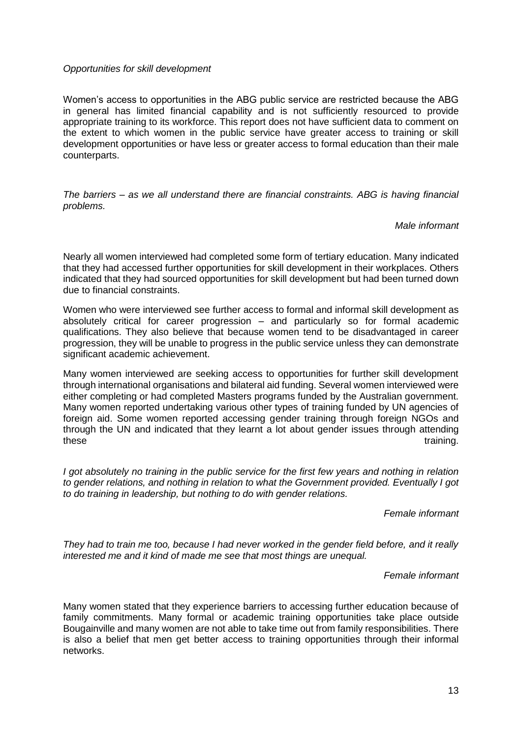#### *Opportunities for skill development*

Women's access to opportunities in the ABG public service are restricted because the ABG in general has limited financial capability and is not sufficiently resourced to provide appropriate training to its workforce. This report does not have sufficient data to comment on the extent to which women in the public service have greater access to training or skill development opportunities or have less or greater access to formal education than their male counterparts.

*The barriers – as we all understand there are financial constraints. ABG is having financial problems.* 

#### *Male informant*

Nearly all women interviewed had completed some form of tertiary education. Many indicated that they had accessed further opportunities for skill development in their workplaces. Others indicated that they had sourced opportunities for skill development but had been turned down due to financial constraints.

Women who were interviewed see further access to formal and informal skill development as absolutely critical for career progression – and particularly so for formal academic qualifications. They also believe that because women tend to be disadvantaged in career progression, they will be unable to progress in the public service unless they can demonstrate significant academic achievement.

Many women interviewed are seeking access to opportunities for further skill development through international organisations and bilateral aid funding. Several women interviewed were either completing or had completed Masters programs funded by the Australian government. Many women reported undertaking various other types of training funded by UN agencies of foreign aid. Some women reported accessing gender training through foreign NGOs and through the UN and indicated that they learnt a lot about gender issues through attending these training.

*I got absolutely no training in the public service for the first few years and nothing in relation to gender relations, and nothing in relation to what the Government provided. Eventually I got to do training in leadership, but nothing to do with gender relations.*

*Female informant*

*They had to train me too, because I had never worked in the gender field before, and it really interested me and it kind of made me see that most things are unequal.* 

*Female informant*

Many women stated that they experience barriers to accessing further education because of family commitments. Many formal or academic training opportunities take place outside Bougainville and many women are not able to take time out from family responsibilities. There is also a belief that men get better access to training opportunities through their informal networks.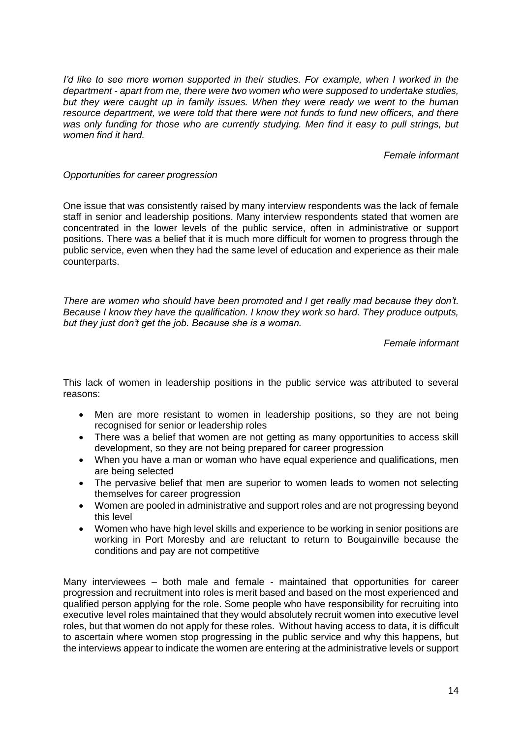*I'd like to see more women supported in their studies. For example, when I worked in the department - apart from me, there were two women who were supposed to undertake studies, but they were caught up in family issues. When they were ready we went to the human resource department, we were told that there were not funds to fund new officers, and there was only funding for those who are currently studying. Men find it easy to pull strings, but women find it hard.* 

*Female informant*

#### *Opportunities for career progression*

One issue that was consistently raised by many interview respondents was the lack of female staff in senior and leadership positions. Many interview respondents stated that women are concentrated in the lower levels of the public service, often in administrative or support positions. There was a belief that it is much more difficult for women to progress through the public service, even when they had the same level of education and experience as their male counterparts.

*There are women who should have been promoted and I get really mad because they don't. Because I know they have the qualification. I know they work so hard. They produce outputs, but they just don't get the job. Because she is a woman.*

*Female informant*

This lack of women in leadership positions in the public service was attributed to several reasons:

- Men are more resistant to women in leadership positions, so they are not being recognised for senior or leadership roles
- There was a belief that women are not getting as many opportunities to access skill development, so they are not being prepared for career progression
- When you have a man or woman who have equal experience and qualifications, men are being selected
- The pervasive belief that men are superior to women leads to women not selecting themselves for career progression
- Women are pooled in administrative and support roles and are not progressing beyond this level
- Women who have high level skills and experience to be working in senior positions are working in Port Moresby and are reluctant to return to Bougainville because the conditions and pay are not competitive

Many interviewees – both male and female - maintained that opportunities for career progression and recruitment into roles is merit based and based on the most experienced and qualified person applying for the role. Some people who have responsibility for recruiting into executive level roles maintained that they would absolutely recruit women into executive level roles, but that women do not apply for these roles. Without having access to data, it is difficult to ascertain where women stop progressing in the public service and why this happens, but the interviews appear to indicate the women are entering at the administrative levels or support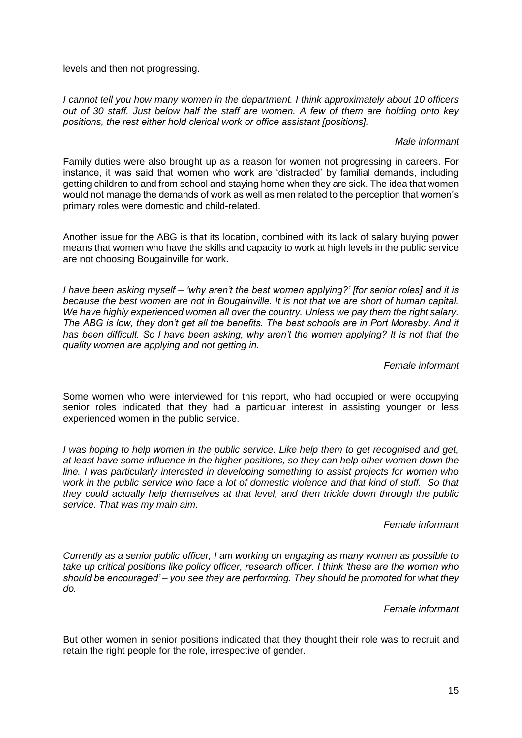levels and then not progressing.

*I cannot tell you how many women in the department. I think approximately about 10 officers out of 30 staff. Just below half the staff are women. A few of them are holding onto key positions, the rest either hold clerical work or office assistant [positions].* 

#### *Male informant*

Family duties were also brought up as a reason for women not progressing in careers. For instance, it was said that women who work are 'distracted' by familial demands, including getting children to and from school and staying home when they are sick. The idea that women would not manage the demands of work as well as men related to the perception that women's primary roles were domestic and child-related.

Another issue for the ABG is that its location, combined with its lack of salary buying power means that women who have the skills and capacity to work at high levels in the public service are not choosing Bougainville for work.

*I have been asking myself – 'why aren't the best women applying?' [for senior roles] and it is because the best women are not in Bougainville. It is not that we are short of human capital. We have highly experienced women all over the country. Unless we pay them the right salary. The ABG is low, they don't get all the benefits. The best schools are in Port Moresby. And it has been difficult. So I have been asking, why aren't the women applying? It is not that the quality women are applying and not getting in.* 

#### *Female informant*

Some women who were interviewed for this report, who had occupied or were occupying senior roles indicated that they had a particular interest in assisting younger or less experienced women in the public service.

*I was hoping to help women in the public service. Like help them to get recognised and get, at least have some influence in the higher positions, so they can help other women down the line. I was particularly interested in developing something to assist projects for women who work in the public service who face a lot of domestic violence and that kind of stuff. So that they could actually help themselves at that level, and then trickle down through the public service. That was my main aim.* 

#### *Female informant*

*Currently as a senior public officer, I am working on engaging as many women as possible to take up critical positions like policy officer, research officer. I think 'these are the women who should be encouraged' – you see they are performing. They should be promoted for what they do.* 

#### *Female informant*

But other women in senior positions indicated that they thought their role was to recruit and retain the right people for the role, irrespective of gender.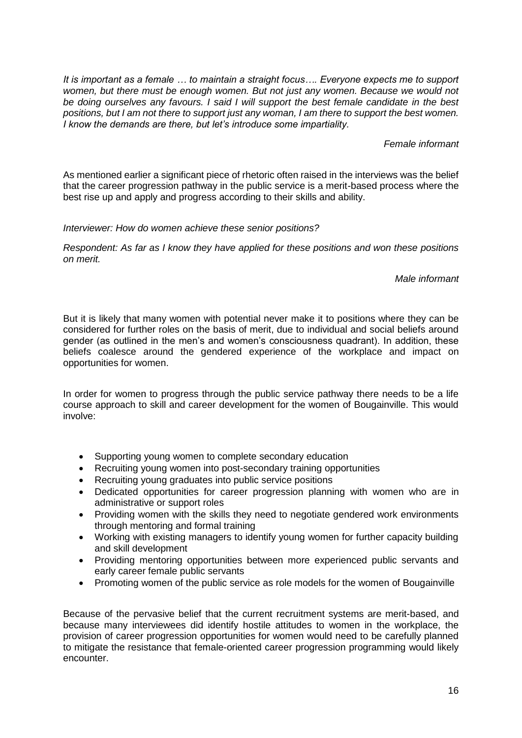*It is important as a female … to maintain a straight focus…. Everyone expects me to support women, but there must be enough women. But not just any women. Because we would not be doing ourselves any favours. I said I will support the best female candidate in the best positions, but I am not there to support just any woman, I am there to support the best women. I know the demands are there, but let's introduce some impartiality.*

#### *Female informant*

As mentioned earlier a significant piece of rhetoric often raised in the interviews was the belief that the career progression pathway in the public service is a merit-based process where the best rise up and apply and progress according to their skills and ability.

#### *Interviewer: How do women achieve these senior positions?*

*Respondent: As far as I know they have applied for these positions and won these positions on merit.* 

*Male informant*

But it is likely that many women with potential never make it to positions where they can be considered for further roles on the basis of merit, due to individual and social beliefs around gender (as outlined in the men's and women's consciousness quadrant). In addition, these beliefs coalesce around the gendered experience of the workplace and impact on opportunities for women.

In order for women to progress through the public service pathway there needs to be a life course approach to skill and career development for the women of Bougainville. This would involve:

- Supporting young women to complete secondary education
- Recruiting young women into post-secondary training opportunities
- Recruiting young graduates into public service positions
- Dedicated opportunities for career progression planning with women who are in administrative or support roles
- Providing women with the skills they need to negotiate gendered work environments through mentoring and formal training
- Working with existing managers to identify young women for further capacity building and skill development
- Providing mentoring opportunities between more experienced public servants and early career female public servants
- Promoting women of the public service as role models for the women of Bougainville

Because of the pervasive belief that the current recruitment systems are merit-based, and because many interviewees did identify hostile attitudes to women in the workplace, the provision of career progression opportunities for women would need to be carefully planned to mitigate the resistance that female-oriented career progression programming would likely encounter.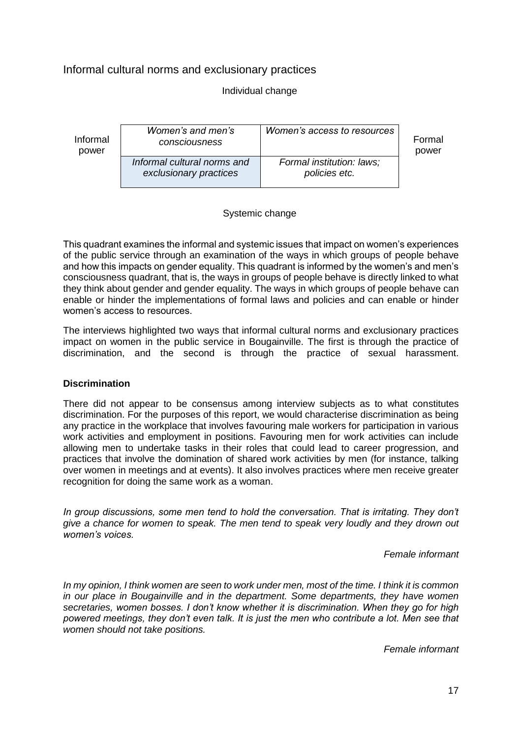#### Informal cultural norms and exclusionary practices

#### Individual change

| Informal | Women's and men's                                     | Women's access to resources                | Formal |
|----------|-------------------------------------------------------|--------------------------------------------|--------|
| power    | consciousness                                         |                                            | power  |
|          | Informal cultural norms and<br>exclusionary practices | Formal institution: laws;<br>policies etc. |        |

#### Systemic change

This quadrant examines the informal and systemic issues that impact on women's experiences of the public service through an examination of the ways in which groups of people behave and how this impacts on gender equality. This quadrant is informed by the women's and men's consciousness quadrant, that is, the ways in groups of people behave is directly linked to what they think about gender and gender equality. The ways in which groups of people behave can enable or hinder the implementations of formal laws and policies and can enable or hinder women's access to resources.

The interviews highlighted two ways that informal cultural norms and exclusionary practices impact on women in the public service in Bougainville. The first is through the practice of discrimination, and the second is through the practice of sexual harassment.

#### **Discrimination**

There did not appear to be consensus among interview subjects as to what constitutes discrimination. For the purposes of this report, we would characterise discrimination as being any practice in the workplace that involves favouring male workers for participation in various work activities and employment in positions. Favouring men for work activities can include allowing men to undertake tasks in their roles that could lead to career progression, and practices that involve the domination of shared work activities by men (for instance, talking over women in meetings and at events). It also involves practices where men receive greater recognition for doing the same work as a woman.

*In group discussions, some men tend to hold the conversation. That is irritating. They don't give a chance for women to speak. The men tend to speak very loudly and they drown out women's voices.*

*Female informant*

*In my opinion, I think women are seen to work under men, most of the time. I think it is common in our place in Bougainville and in the department. Some departments, they have women secretaries, women bosses. I don't know whether it is discrimination. When they go for high powered meetings, they don't even talk. It is just the men who contribute a lot. Men see that women should not take positions.*

*Female informant*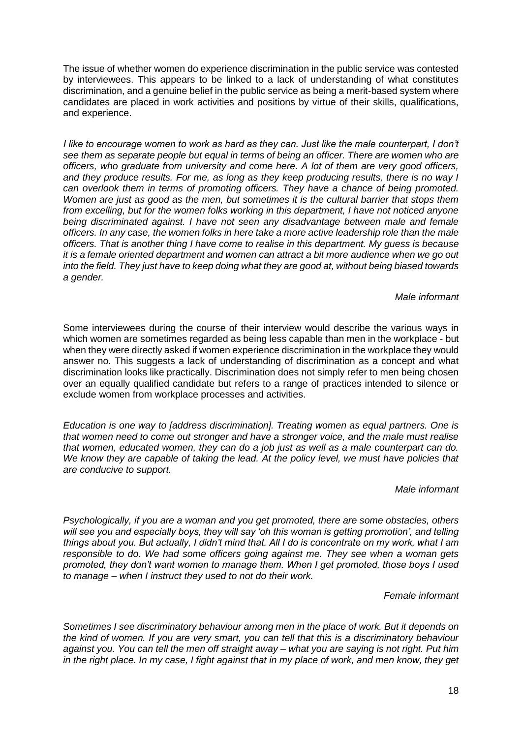The issue of whether women do experience discrimination in the public service was contested by interviewees. This appears to be linked to a lack of understanding of what constitutes discrimination, and a genuine belief in the public service as being a merit-based system where candidates are placed in work activities and positions by virtue of their skills, qualifications, and experience.

*I like to encourage women to work as hard as they can. Just like the male counterpart, I don't see them as separate people but equal in terms of being an officer. There are women who are officers, who graduate from university and come here. A lot of them are very good officers, and they produce results. For me, as long as they keep producing results, there is no way I can overlook them in terms of promoting officers. They have a chance of being promoted. Women are just as good as the men, but sometimes it is the cultural barrier that stops them from excelling, but for the women folks working in this department, I have not noticed anyone being discriminated against. I have not seen any disadvantage between male and female officers. In any case, the women folks in here take a more active leadership role than the male officers. That is another thing I have come to realise in this department. My guess is because it is a female oriented department and women can attract a bit more audience when we go out into the field. They just have to keep doing what they are good at, without being biased towards a gender.*

*Male informant*

Some interviewees during the course of their interview would describe the various ways in which women are sometimes regarded as being less capable than men in the workplace - but when they were directly asked if women experience discrimination in the workplace they would answer no. This suggests a lack of understanding of discrimination as a concept and what discrimination looks like practically. Discrimination does not simply refer to men being chosen over an equally qualified candidate but refers to a range of practices intended to silence or exclude women from workplace processes and activities.

*Education is one way to [address discrimination]. Treating women as equal partners. One is that women need to come out stronger and have a stronger voice, and the male must realise that women, educated women, they can do a job just as well as a male counterpart can do. We know they are capable of taking the lead. At the policy level, we must have policies that are conducive to support.* 

*Male informant*

*Psychologically, if you are a woman and you get promoted, there are some obstacles, others will see you and especially boys, they will say 'oh this woman is getting promotion', and telling things about you. But actually, I didn't mind that. All I do is concentrate on my work, what I am responsible to do. We had some officers going against me. They see when a woman gets promoted, they don't want women to manage them. When I get promoted, those boys I used to manage – when I instruct they used to not do their work.* 

*Female informant*

*Sometimes I see discriminatory behaviour among men in the place of work. But it depends on the kind of women. If you are very smart, you can tell that this is a discriminatory behaviour against you. You can tell the men off straight away – what you are saying is not right. Put him in the right place. In my case, I fight against that in my place of work, and men know, they get*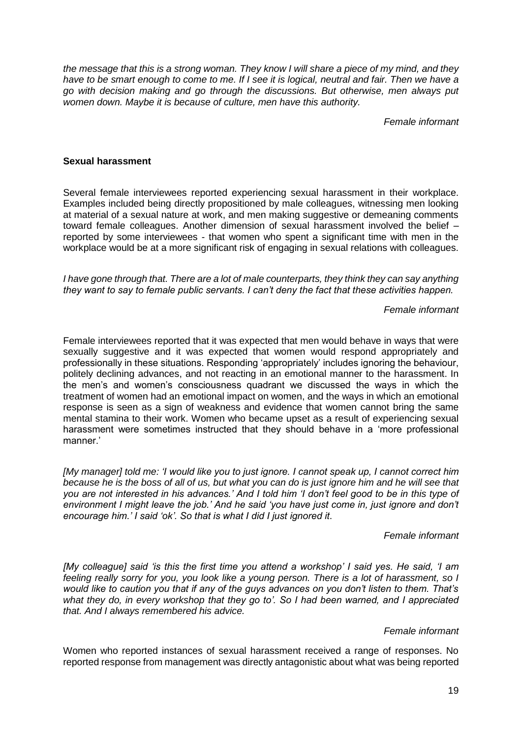*the message that this is a strong woman. They know I will share a piece of my mind, and they have to be smart enough to come to me. If I see it is logical, neutral and fair. Then we have a go with decision making and go through the discussions. But otherwise, men always put women down. Maybe it is because of culture, men have this authority.* 

*Female informant*

#### **Sexual harassment**

Several female interviewees reported experiencing sexual harassment in their workplace. Examples included being directly propositioned by male colleagues, witnessing men looking at material of a sexual nature at work, and men making suggestive or demeaning comments toward female colleagues. Another dimension of sexual harassment involved the belief – reported by some interviewees - that women who spent a significant time with men in the workplace would be at a more significant risk of engaging in sexual relations with colleagues.

*I have gone through that. There are a lot of male counterparts, they think they can say anything they want to say to female public servants. I can't deny the fact that these activities happen.*

#### *Female informant*

Female interviewees reported that it was expected that men would behave in ways that were sexually suggestive and it was expected that women would respond appropriately and professionally in these situations. Responding 'appropriately' includes ignoring the behaviour, politely declining advances, and not reacting in an emotional manner to the harassment. In the men's and women's consciousness quadrant we discussed the ways in which the treatment of women had an emotional impact on women, and the ways in which an emotional response is seen as a sign of weakness and evidence that women cannot bring the same mental stamina to their work. Women who became upset as a result of experiencing sexual harassment were sometimes instructed that they should behave in a 'more professional manner.'

*[My manager] told me: 'I would like you to just ignore. I cannot speak up, I cannot correct him because he is the boss of all of us, but what you can do is just ignore him and he will see that you are not interested in his advances.' And I told him 'I don't feel good to be in this type of environment I might leave the job.' And he said 'you have just come in, just ignore and don't encourage him.' I said 'ok'. So that is what I did I just ignored it*.

#### *Female informant*

*[My colleague] said 'is this the first time you attend a workshop' I said yes. He said, 'I am feeling really sorry for you, you look like a young person. There is a lot of harassment, so I would like to caution you that if any of the guys advances on you don't listen to them. That's what they do, in every workshop that they go to'. So I had been warned, and I appreciated that. And I always remembered his advice.* 

#### *Female informant*

Women who reported instances of sexual harassment received a range of responses. No reported response from management was directly antagonistic about what was being reported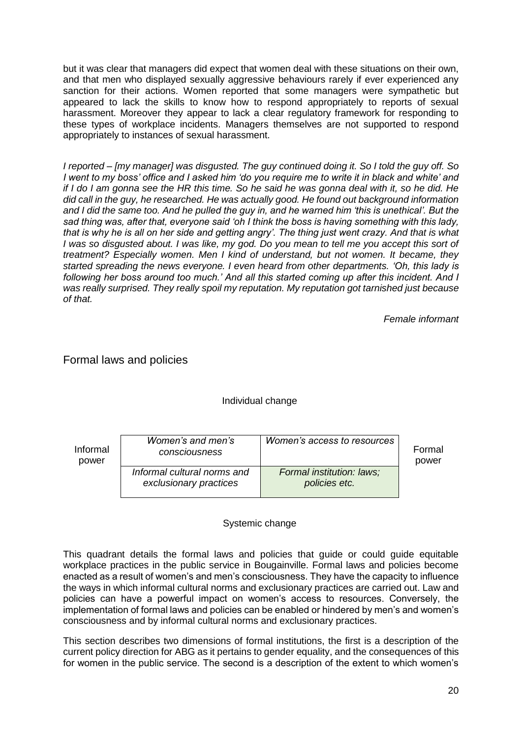but it was clear that managers did expect that women deal with these situations on their own, and that men who displayed sexually aggressive behaviours rarely if ever experienced any sanction for their actions. Women reported that some managers were sympathetic but appeared to lack the skills to know how to respond appropriately to reports of sexual harassment. Moreover they appear to lack a clear regulatory framework for responding to these types of workplace incidents. Managers themselves are not supported to respond appropriately to instances of sexual harassment.

*I reported – [my manager] was disgusted. The guy continued doing it. So I told the guy off. So I went to my boss' office and I asked him 'do you require me to write it in black and white' and if I do I am gonna see the HR this time. So he said he was gonna deal with it, so he did. He did call in the guy, he researched. He was actually good. He found out background information and I did the same too. And he pulled the guy in, and he warned him 'this is unethical'. But the sad thing was, after that, everyone said 'oh I think the boss is having something with this lady, that is why he is all on her side and getting angry'. The thing just went crazy. And that is what I was so disgusted about. I was like, my god. Do you mean to tell me you accept this sort of treatment? Especially women. Men I kind of understand, but not women. It became, they started spreading the news everyone. I even heard from other departments. 'Oh, this lady is following her boss around too much.' And all this started coming up after this incident. And I was really surprised. They really spoil my reputation. My reputation got tarnished just because of that.* 

*Female informant* 

#### Formal laws and policies

Individual change

| Informal |  |
|----------|--|
| power    |  |

| ıal | Women's and men's<br>consciousness                    | Women's access to resources                | Formal<br>power |
|-----|-------------------------------------------------------|--------------------------------------------|-----------------|
|     | Informal cultural norms and<br>exclusionary practices | Formal institution: laws;<br>policies etc. |                 |

#### Systemic change

This quadrant details the formal laws and policies that guide or could guide equitable workplace practices in the public service in Bougainville. Formal laws and policies become enacted as a result of women's and men's consciousness. They have the capacity to influence the ways in which informal cultural norms and exclusionary practices are carried out. Law and policies can have a powerful impact on women's access to resources. Conversely, the implementation of formal laws and policies can be enabled or hindered by men's and women's consciousness and by informal cultural norms and exclusionary practices.

This section describes two dimensions of formal institutions, the first is a description of the current policy direction for ABG as it pertains to gender equality, and the consequences of this for women in the public service. The second is a description of the extent to which women's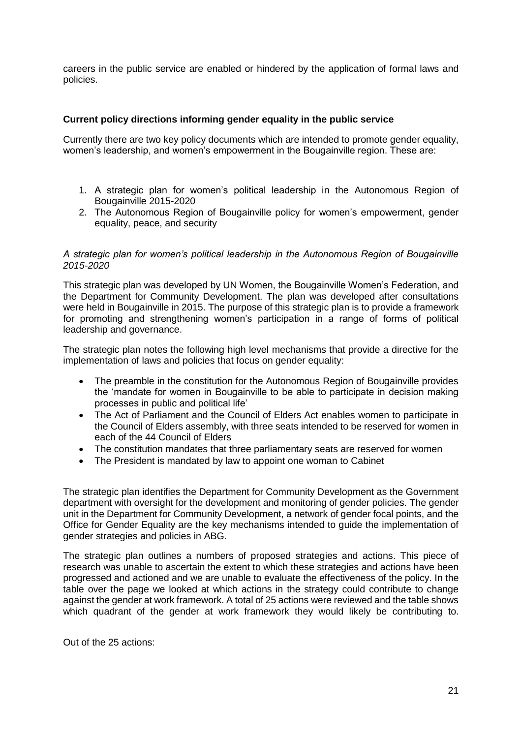careers in the public service are enabled or hindered by the application of formal laws and policies.

#### **Current policy directions informing gender equality in the public service**

Currently there are two key policy documents which are intended to promote gender equality, women's leadership, and women's empowerment in the Bougainville region. These are:

- 1. A strategic plan for women's political leadership in the Autonomous Region of Bougainville 2015-2020
- 2. The Autonomous Region of Bougainville policy for women's empowerment, gender equality, peace, and security

#### *A strategic plan for women's political leadership in the Autonomous Region of Bougainville 2015-2020*

This strategic plan was developed by UN Women, the Bougainville Women's Federation, and the Department for Community Development. The plan was developed after consultations were held in Bougainville in 2015. The purpose of this strategic plan is to provide a framework for promoting and strengthening women's participation in a range of forms of political leadership and governance.

The strategic plan notes the following high level mechanisms that provide a directive for the implementation of laws and policies that focus on gender equality:

- The preamble in the constitution for the Autonomous Region of Bougainville provides the 'mandate for women in Bougainville to be able to participate in decision making processes in public and political life'
- The Act of Parliament and the Council of Elders Act enables women to participate in the Council of Elders assembly, with three seats intended to be reserved for women in each of the 44 Council of Elders
- The constitution mandates that three parliamentary seats are reserved for women
- The President is mandated by law to appoint one woman to Cabinet

The strategic plan identifies the Department for Community Development as the Government department with oversight for the development and monitoring of gender policies. The gender unit in the Department for Community Development, a network of gender focal points, and the Office for Gender Equality are the key mechanisms intended to guide the implementation of gender strategies and policies in ABG.

The strategic plan outlines a numbers of proposed strategies and actions. This piece of research was unable to ascertain the extent to which these strategies and actions have been progressed and actioned and we are unable to evaluate the effectiveness of the policy. In the table over the page we looked at which actions in the strategy could contribute to change against the gender at work framework. A total of 25 actions were reviewed and the table shows which quadrant of the gender at work framework they would likely be contributing to.

Out of the 25 actions: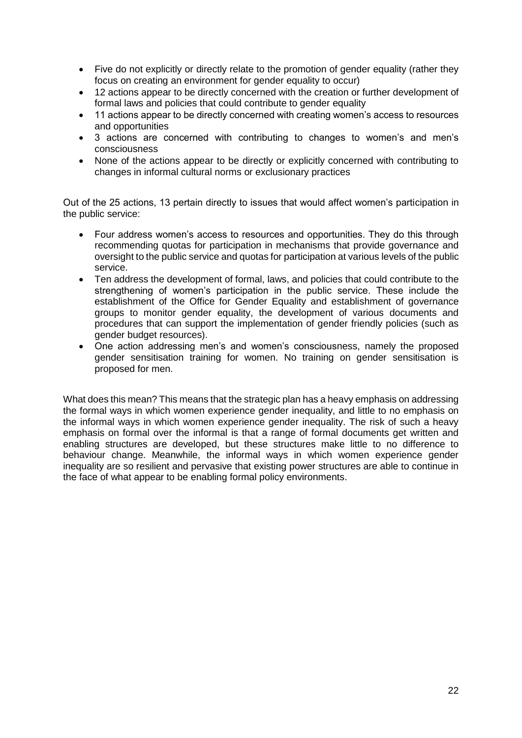- Five do not explicitly or directly relate to the promotion of gender equality (rather they focus on creating an environment for gender equality to occur)
- 12 actions appear to be directly concerned with the creation or further development of formal laws and policies that could contribute to gender equality
- 11 actions appear to be directly concerned with creating women's access to resources and opportunities
- 3 actions are concerned with contributing to changes to women's and men's consciousness
- None of the actions appear to be directly or explicitly concerned with contributing to changes in informal cultural norms or exclusionary practices

Out of the 25 actions, 13 pertain directly to issues that would affect women's participation in the public service:

- Four address women's access to resources and opportunities. They do this through recommending quotas for participation in mechanisms that provide governance and oversight to the public service and quotas for participation at various levels of the public service.
- Ten address the development of formal, laws, and policies that could contribute to the strengthening of women's participation in the public service. These include the establishment of the Office for Gender Equality and establishment of governance groups to monitor gender equality, the development of various documents and procedures that can support the implementation of gender friendly policies (such as gender budget resources).
- One action addressing men's and women's consciousness, namely the proposed gender sensitisation training for women. No training on gender sensitisation is proposed for men.

What does this mean? This means that the strategic plan has a heavy emphasis on addressing the formal ways in which women experience gender inequality, and little to no emphasis on the informal ways in which women experience gender inequality. The risk of such a heavy emphasis on formal over the informal is that a range of formal documents get written and enabling structures are developed, but these structures make little to no difference to behaviour change. Meanwhile, the informal ways in which women experience gender inequality are so resilient and pervasive that existing power structures are able to continue in the face of what appear to be enabling formal policy environments.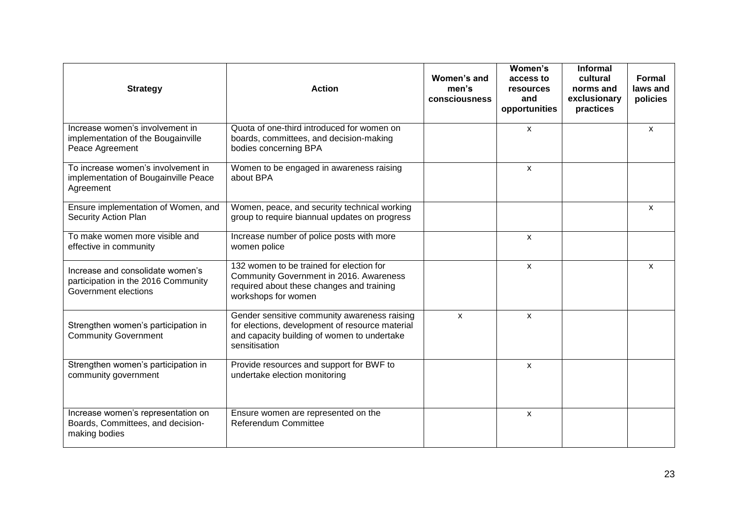| <b>Strategy</b>                                                                                 | <b>Action</b>                                                                                                                                                   | Women's and<br>men's<br>consciousness | Women's<br>access to<br><b>resources</b><br>and<br>opportunities | <b>Informal</b><br>cultural<br>norms and<br>exclusionary<br>practices | Formal<br>laws and<br>policies |
|-------------------------------------------------------------------------------------------------|-----------------------------------------------------------------------------------------------------------------------------------------------------------------|---------------------------------------|------------------------------------------------------------------|-----------------------------------------------------------------------|--------------------------------|
| Increase women's involvement in<br>implementation of the Bougainville<br>Peace Agreement        | Quota of one-third introduced for women on<br>boards, committees, and decision-making<br>bodies concerning BPA                                                  |                                       | X                                                                |                                                                       | $\mathsf{x}$                   |
| To increase women's involvement in<br>implementation of Bougainville Peace<br>Agreement         | Women to be engaged in awareness raising<br>about BPA                                                                                                           |                                       | X                                                                |                                                                       |                                |
| Ensure implementation of Women, and<br><b>Security Action Plan</b>                              | Women, peace, and security technical working<br>group to require biannual updates on progress                                                                   |                                       |                                                                  |                                                                       | $\mathsf{x}$                   |
| To make women more visible and<br>effective in community                                        | Increase number of police posts with more<br>women police                                                                                                       |                                       | X                                                                |                                                                       |                                |
| Increase and consolidate women's<br>participation in the 2016 Community<br>Government elections | 132 women to be trained for election for<br>Community Government in 2016. Awareness<br>required about these changes and training<br>workshops for women         |                                       | X                                                                |                                                                       | $\mathsf{x}$                   |
| Strengthen women's participation in<br><b>Community Government</b>                              | Gender sensitive community awareness raising<br>for elections, development of resource material<br>and capacity building of women to undertake<br>sensitisation | X                                     | X                                                                |                                                                       |                                |
| Strengthen women's participation in<br>community government                                     | Provide resources and support for BWF to<br>undertake election monitoring                                                                                       |                                       | X                                                                |                                                                       |                                |
| Increase women's representation on<br>Boards, Committees, and decision-<br>making bodies        | Ensure women are represented on the<br><b>Referendum Committee</b>                                                                                              |                                       | X                                                                |                                                                       |                                |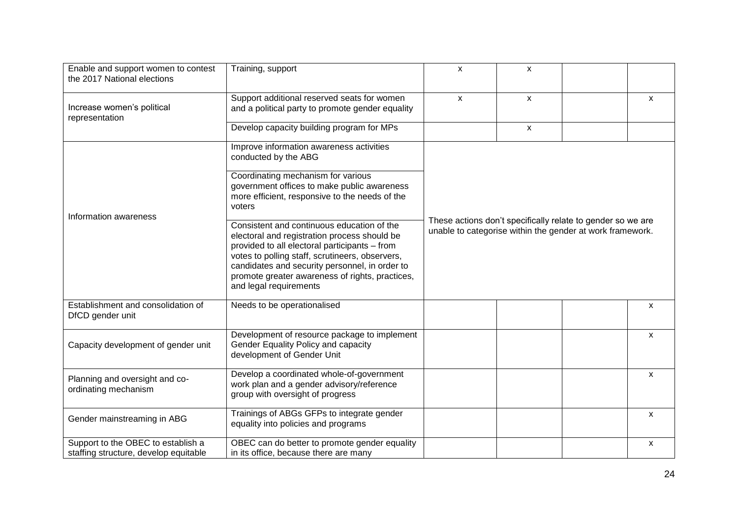| Enable and support women to contest<br>the 2017 National elections          | Training, support                                                                                                                                                                                                                                                                                                             | $\boldsymbol{\mathsf{x}}$                                                                                                | $\pmb{\mathsf{X}}$ |  |              |
|-----------------------------------------------------------------------------|-------------------------------------------------------------------------------------------------------------------------------------------------------------------------------------------------------------------------------------------------------------------------------------------------------------------------------|--------------------------------------------------------------------------------------------------------------------------|--------------------|--|--------------|
| Increase women's political<br>representation                                | Support additional reserved seats for women<br>and a political party to promote gender equality                                                                                                                                                                                                                               | $\mathsf{x}$                                                                                                             | X                  |  | $\mathsf{x}$ |
|                                                                             | Develop capacity building program for MPs                                                                                                                                                                                                                                                                                     |                                                                                                                          | X                  |  |              |
| Information awareness                                                       | Improve information awareness activities<br>conducted by the ABG                                                                                                                                                                                                                                                              |                                                                                                                          |                    |  |              |
|                                                                             | Coordinating mechanism for various<br>government offices to make public awareness<br>more efficient, responsive to the needs of the<br>voters                                                                                                                                                                                 | These actions don't specifically relate to gender so we are<br>unable to categorise within the gender at work framework. |                    |  |              |
|                                                                             | Consistent and continuous education of the<br>electoral and registration process should be<br>provided to all electoral participants - from<br>votes to polling staff, scrutineers, observers,<br>candidates and security personnel, in order to<br>promote greater awareness of rights, practices,<br>and legal requirements |                                                                                                                          |                    |  |              |
| Establishment and consolidation of<br>DfCD gender unit                      | Needs to be operationalised                                                                                                                                                                                                                                                                                                   |                                                                                                                          |                    |  | X            |
| Capacity development of gender unit                                         | Development of resource package to implement<br>Gender Equality Policy and capacity<br>development of Gender Unit                                                                                                                                                                                                             |                                                                                                                          |                    |  | $\mathsf{x}$ |
| Planning and oversight and co-<br>ordinating mechanism                      | Develop a coordinated whole-of-government<br>work plan and a gender advisory/reference<br>group with oversight of progress                                                                                                                                                                                                    |                                                                                                                          |                    |  | X            |
| Gender mainstreaming in ABG                                                 | Trainings of ABGs GFPs to integrate gender<br>equality into policies and programs                                                                                                                                                                                                                                             |                                                                                                                          |                    |  | X            |
| Support to the OBEC to establish a<br>staffing structure, develop equitable | OBEC can do better to promote gender equality<br>in its office, because there are many                                                                                                                                                                                                                                        |                                                                                                                          |                    |  | X            |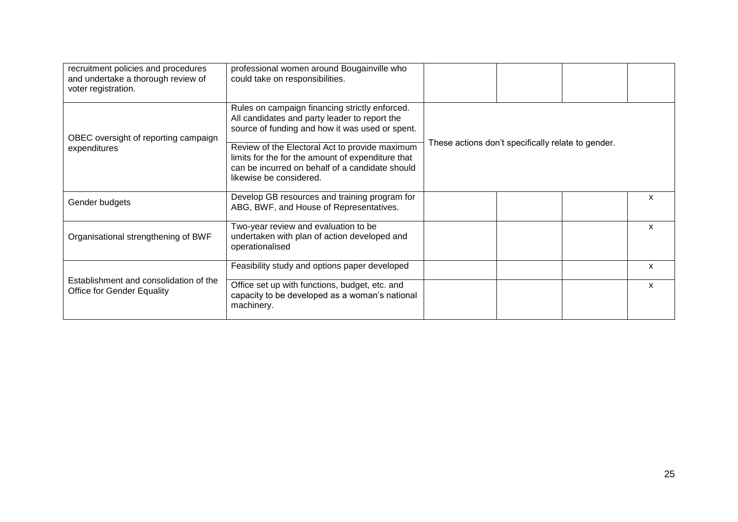| recruitment policies and procedures<br>and undertake a thorough review of<br>voter registration. | professional women around Bougainville who<br>could take on responsibilities.                                                                                                                                                                                                                                                           |                                                    |  |   |
|--------------------------------------------------------------------------------------------------|-----------------------------------------------------------------------------------------------------------------------------------------------------------------------------------------------------------------------------------------------------------------------------------------------------------------------------------------|----------------------------------------------------|--|---|
| OBEC oversight of reporting campaign<br>expenditures                                             | Rules on campaign financing strictly enforced.<br>All candidates and party leader to report the<br>source of funding and how it was used or spent.<br>Review of the Electoral Act to provide maximum<br>limits for the for the amount of expenditure that<br>can be incurred on behalf of a candidate should<br>likewise be considered. | These actions don't specifically relate to gender. |  |   |
| Gender budgets                                                                                   | Develop GB resources and training program for<br>ABG, BWF, and House of Representatives.                                                                                                                                                                                                                                                |                                                    |  | X |
| Organisational strengthening of BWF                                                              | Two-year review and evaluation to be<br>undertaken with plan of action developed and<br>operationalised                                                                                                                                                                                                                                 |                                                    |  | X |
|                                                                                                  | Feasibility study and options paper developed                                                                                                                                                                                                                                                                                           |                                                    |  | X |
| Establishment and consolidation of the<br><b>Office for Gender Equality</b>                      | Office set up with functions, budget, etc. and<br>capacity to be developed as a woman's national<br>machinery.                                                                                                                                                                                                                          |                                                    |  | X |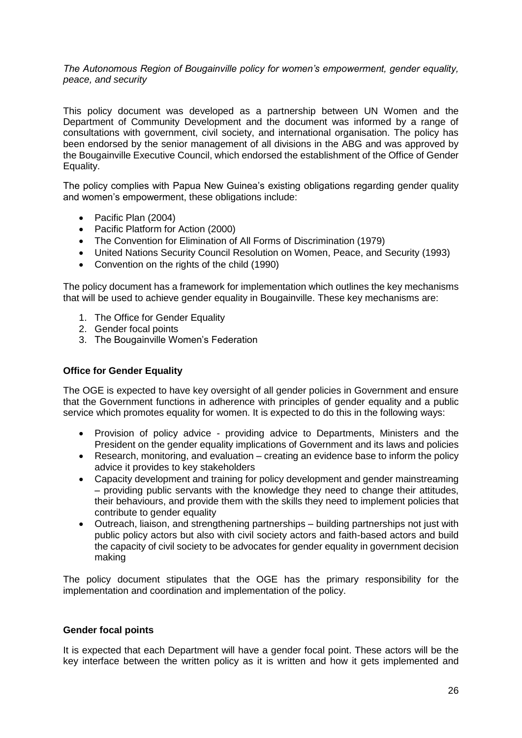*The Autonomous Region of Bougainville policy for women's empowerment, gender equality, peace, and security*

This policy document was developed as a partnership between UN Women and the Department of Community Development and the document was informed by a range of consultations with government, civil society, and international organisation. The policy has been endorsed by the senior management of all divisions in the ABG and was approved by the Bougainville Executive Council, which endorsed the establishment of the Office of Gender Equality.

The policy complies with Papua New Guinea's existing obligations regarding gender quality and women's empowerment, these obligations include:

- Pacific Plan (2004)
- Pacific Platform for Action (2000)
- The Convention for Elimination of All Forms of Discrimination (1979)
- United Nations Security Council Resolution on Women, Peace, and Security (1993)
- Convention on the rights of the child (1990)

The policy document has a framework for implementation which outlines the key mechanisms that will be used to achieve gender equality in Bougainville. These key mechanisms are:

- 1. The Office for Gender Equality
- 2. Gender focal points
- 3. The Bougainville Women's Federation

#### **Office for Gender Equality**

The OGE is expected to have key oversight of all gender policies in Government and ensure that the Government functions in adherence with principles of gender equality and a public service which promotes equality for women. It is expected to do this in the following ways:

- Provision of policy advice providing advice to Departments, Ministers and the President on the gender equality implications of Government and its laws and policies
- Research, monitoring, and evaluation creating an evidence base to inform the policy advice it provides to key stakeholders
- Capacity development and training for policy development and gender mainstreaming – providing public servants with the knowledge they need to change their attitudes, their behaviours, and provide them with the skills they need to implement policies that contribute to gender equality
- Outreach, liaison, and strengthening partnerships building partnerships not just with public policy actors but also with civil society actors and faith-based actors and build the capacity of civil society to be advocates for gender equality in government decision making

The policy document stipulates that the OGE has the primary responsibility for the implementation and coordination and implementation of the policy.

#### **Gender focal points**

It is expected that each Department will have a gender focal point. These actors will be the key interface between the written policy as it is written and how it gets implemented and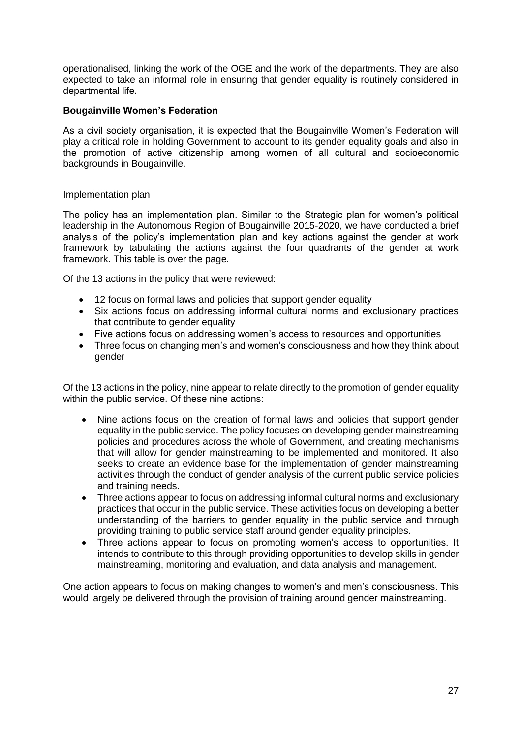operationalised, linking the work of the OGE and the work of the departments. They are also expected to take an informal role in ensuring that gender equality is routinely considered in departmental life.

#### **Bougainville Women's Federation**

As a civil society organisation, it is expected that the Bougainville Women's Federation will play a critical role in holding Government to account to its gender equality goals and also in the promotion of active citizenship among women of all cultural and socioeconomic backgrounds in Bougainville.

#### Implementation plan

The policy has an implementation plan. Similar to the Strategic plan for women's political leadership in the Autonomous Region of Bougainville 2015-2020, we have conducted a brief analysis of the policy's implementation plan and key actions against the gender at work framework by tabulating the actions against the four quadrants of the gender at work framework. This table is over the page.

Of the 13 actions in the policy that were reviewed:

- 12 focus on formal laws and policies that support gender equality
- Six actions focus on addressing informal cultural norms and exclusionary practices that contribute to gender equality
- Five actions focus on addressing women's access to resources and opportunities
- Three focus on changing men's and women's consciousness and how they think about gender

Of the 13 actions in the policy, nine appear to relate directly to the promotion of gender equality within the public service. Of these nine actions:

- Nine actions focus on the creation of formal laws and policies that support gender equality in the public service. The policy focuses on developing gender mainstreaming policies and procedures across the whole of Government, and creating mechanisms that will allow for gender mainstreaming to be implemented and monitored. It also seeks to create an evidence base for the implementation of gender mainstreaming activities through the conduct of gender analysis of the current public service policies and training needs.
- Three actions appear to focus on addressing informal cultural norms and exclusionary practices that occur in the public service. These activities focus on developing a better understanding of the barriers to gender equality in the public service and through providing training to public service staff around gender equality principles.
- Three actions appear to focus on promoting women's access to opportunities. It intends to contribute to this through providing opportunities to develop skills in gender mainstreaming, monitoring and evaluation, and data analysis and management.

One action appears to focus on making changes to women's and men's consciousness. This would largely be delivered through the provision of training around gender mainstreaming.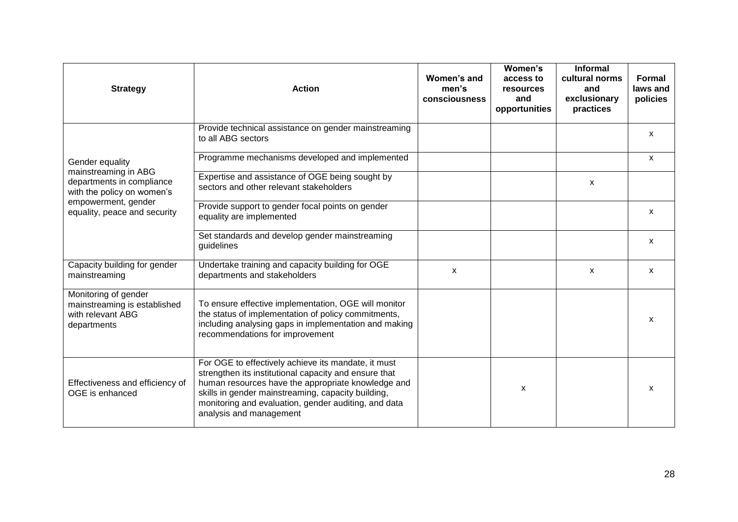| <b>Strategy</b>                                                                          | <b>Action</b>                                                                                                                                                                                                                                                                                               | Women's and<br>men's<br>consciousness | Women's<br>access to<br>resources<br>and<br>opportunities | <b>Informal</b><br>cultural norms<br>and<br>exclusionary<br>practices | Formal<br>laws and<br>policies |
|------------------------------------------------------------------------------------------|-------------------------------------------------------------------------------------------------------------------------------------------------------------------------------------------------------------------------------------------------------------------------------------------------------------|---------------------------------------|-----------------------------------------------------------|-----------------------------------------------------------------------|--------------------------------|
|                                                                                          | Provide technical assistance on gender mainstreaming<br>to all ABG sectors                                                                                                                                                                                                                                  |                                       |                                                           |                                                                       | $\mathsf{x}$                   |
| Gender equality                                                                          | Programme mechanisms developed and implemented                                                                                                                                                                                                                                                              |                                       |                                                           |                                                                       | X                              |
| mainstreaming in ABG<br>departments in compliance<br>with the policy on women's          | Expertise and assistance of OGE being sought by<br>sectors and other relevant stakeholders                                                                                                                                                                                                                  |                                       |                                                           | X                                                                     |                                |
| empowerment, gender<br>equality, peace and security                                      | Provide support to gender focal points on gender<br>equality are implemented                                                                                                                                                                                                                                |                                       |                                                           |                                                                       | $\mathsf{x}$                   |
|                                                                                          | Set standards and develop gender mainstreaming<br>guidelines                                                                                                                                                                                                                                                |                                       |                                                           |                                                                       | $\mathsf{x}$                   |
| Capacity building for gender<br>mainstreaming                                            | Undertake training and capacity building for OGE<br>departments and stakeholders                                                                                                                                                                                                                            | $\mathsf{x}$                          |                                                           | $\boldsymbol{\mathsf{x}}$                                             | X                              |
| Monitoring of gender<br>mainstreaming is established<br>with relevant ABG<br>departments | To ensure effective implementation, OGE will monitor<br>the status of implementation of policy commitments,<br>including analysing gaps in implementation and making<br>recommendations for improvement                                                                                                     |                                       |                                                           |                                                                       | x                              |
| Effectiveness and efficiency of<br>OGE is enhanced                                       | For OGE to effectively achieve its mandate, it must<br>strengthen its institutional capacity and ensure that<br>human resources have the appropriate knowledge and<br>skills in gender mainstreaming, capacity building,<br>monitoring and evaluation, gender auditing, and data<br>analysis and management |                                       | X                                                         |                                                                       | X                              |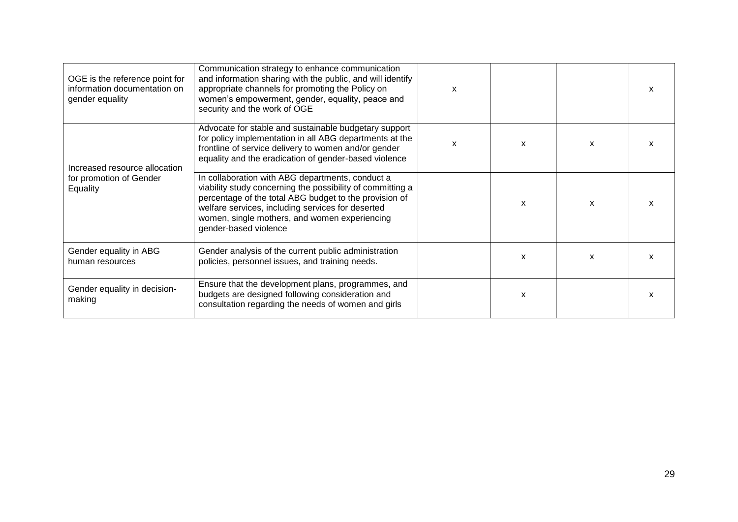| OGE is the reference point for<br>information documentation on<br>gender equality | Communication strategy to enhance communication<br>and information sharing with the public, and will identify<br>appropriate channels for promoting the Policy on<br>women's empowerment, gender, equality, peace and<br>security and the work of OGE                                                   | $\boldsymbol{\mathsf{x}}$ |   |   |  |
|-----------------------------------------------------------------------------------|---------------------------------------------------------------------------------------------------------------------------------------------------------------------------------------------------------------------------------------------------------------------------------------------------------|---------------------------|---|---|--|
| Increased resource allocation                                                     | Advocate for stable and sustainable budgetary support<br>for policy implementation in all ABG departments at the<br>frontline of service delivery to women and/or gender<br>equality and the eradication of gender-based violence                                                                       | x                         | X | X |  |
| for promotion of Gender<br>Equality                                               | In collaboration with ABG departments, conduct a<br>viability study concerning the possibility of committing a<br>percentage of the total ABG budget to the provision of<br>welfare services, including services for deserted<br>women, single mothers, and women experiencing<br>gender-based violence |                           | X | X |  |
| Gender equality in ABG<br>human resources                                         | Gender analysis of the current public administration<br>policies, personnel issues, and training needs.                                                                                                                                                                                                 |                           | X | X |  |
| Gender equality in decision-<br>making                                            | Ensure that the development plans, programmes, and<br>budgets are designed following consideration and<br>consultation regarding the needs of women and girls                                                                                                                                           |                           | x |   |  |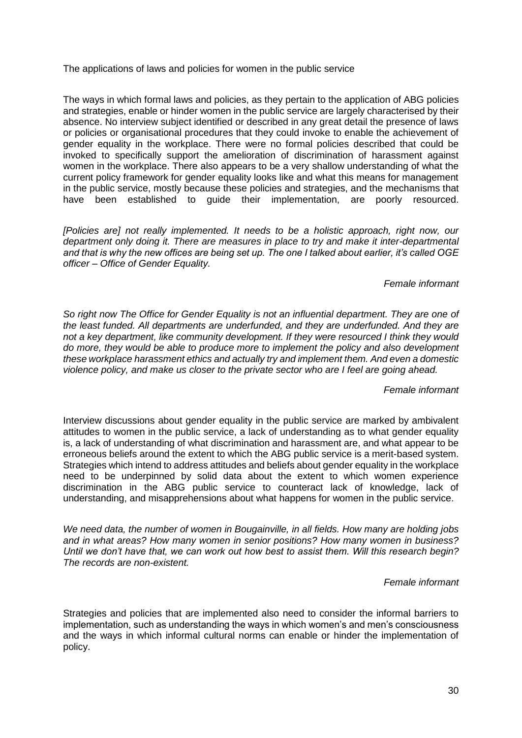The applications of laws and policies for women in the public service

The ways in which formal laws and policies, as they pertain to the application of ABG policies and strategies, enable or hinder women in the public service are largely characterised by their absence. No interview subject identified or described in any great detail the presence of laws or policies or organisational procedures that they could invoke to enable the achievement of gender equality in the workplace. There were no formal policies described that could be invoked to specifically support the amelioration of discrimination of harassment against women in the workplace. There also appears to be a very shallow understanding of what the current policy framework for gender equality looks like and what this means for management in the public service, mostly because these policies and strategies, and the mechanisms that have been established to guide their implementation, are poorly resourced.

*[Policies are] not really implemented. It needs to be a holistic approach, right now, our department only doing it. There are measures in place to try and make it inter-departmental and that is why the new offices are being set up. The one I talked about earlier, it's called OGE officer – Office of Gender Equality.*

#### *Female informant*

*So right now The Office for Gender Equality is not an influential department. They are one of the least funded. All departments are underfunded, and they are underfunded. And they are not a key department, like community development. If they were resourced I think they would do more, they would be able to produce more to implement the policy and also development these workplace harassment ethics and actually try and implement them. And even a domestic violence policy, and make us closer to the private sector who are I feel are going ahead.*

#### *Female informant*

Interview discussions about gender equality in the public service are marked by ambivalent attitudes to women in the public service, a lack of understanding as to what gender equality is, a lack of understanding of what discrimination and harassment are, and what appear to be erroneous beliefs around the extent to which the ABG public service is a merit-based system. Strategies which intend to address attitudes and beliefs about gender equality in the workplace need to be underpinned by solid data about the extent to which women experience discrimination in the ABG public service to counteract lack of knowledge, lack of understanding, and misapprehensions about what happens for women in the public service.

*We need data, the number of women in Bougainville, in all fields. How many are holding jobs and in what areas? How many women in senior positions? How many women in business? Until we don't have that, we can work out how best to assist them. Will this research begin? The records are non-existent.* 

#### *Female informant*

Strategies and policies that are implemented also need to consider the informal barriers to implementation, such as understanding the ways in which women's and men's consciousness and the ways in which informal cultural norms can enable or hinder the implementation of policy.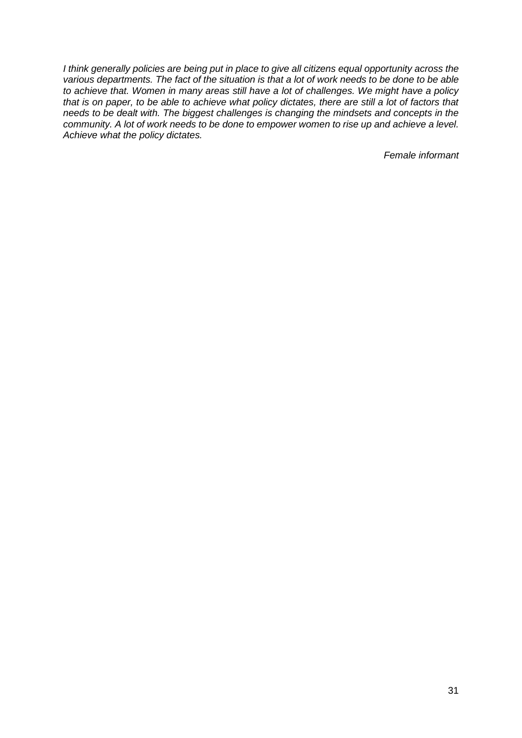*I think generally policies are being put in place to give all citizens equal opportunity across the various departments. The fact of the situation is that a lot of work needs to be done to be able to achieve that. Women in many areas still have a lot of challenges. We might have a policy that is on paper, to be able to achieve what policy dictates, there are still a lot of factors that needs to be dealt with. The biggest challenges is changing the mindsets and concepts in the community. A lot of work needs to be done to empower women to rise up and achieve a level. Achieve what the policy dictates.* 

*Female informant*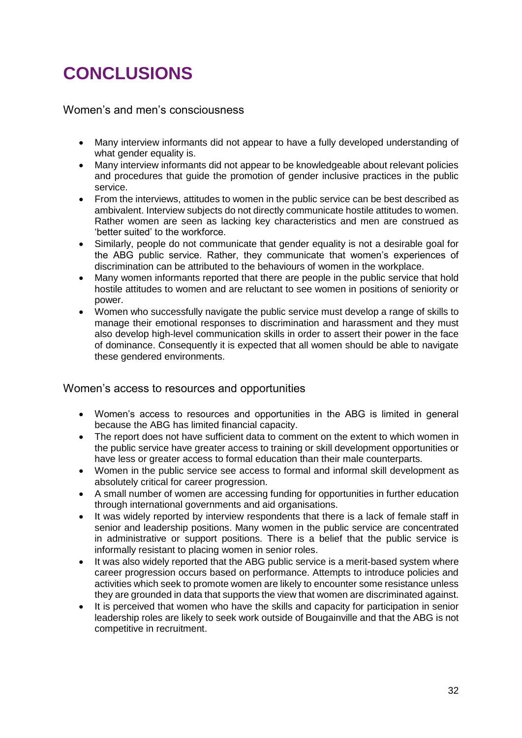## **CONCLUSIONS**

Women's and men's consciousness

- Many interview informants did not appear to have a fully developed understanding of what gender equality is.
- Many interview informants did not appear to be knowledgeable about relevant policies and procedures that guide the promotion of gender inclusive practices in the public service.
- From the interviews, attitudes to women in the public service can be best described as ambivalent. Interview subjects do not directly communicate hostile attitudes to women. Rather women are seen as lacking key characteristics and men are construed as 'better suited' to the workforce.
- Similarly, people do not communicate that gender equality is not a desirable goal for the ABG public service. Rather, they communicate that women's experiences of discrimination can be attributed to the behaviours of women in the workplace.
- Many women informants reported that there are people in the public service that hold hostile attitudes to women and are reluctant to see women in positions of seniority or power.
- Women who successfully navigate the public service must develop a range of skills to manage their emotional responses to discrimination and harassment and they must also develop high-level communication skills in order to assert their power in the face of dominance. Consequently it is expected that all women should be able to navigate these gendered environments.

#### Women's access to resources and opportunities

- Women's access to resources and opportunities in the ABG is limited in general because the ABG has limited financial capacity.
- The report does not have sufficient data to comment on the extent to which women in the public service have greater access to training or skill development opportunities or have less or greater access to formal education than their male counterparts.
- Women in the public service see access to formal and informal skill development as absolutely critical for career progression.
- A small number of women are accessing funding for opportunities in further education through international governments and aid organisations.
- It was widely reported by interview respondents that there is a lack of female staff in senior and leadership positions. Many women in the public service are concentrated in administrative or support positions. There is a belief that the public service is informally resistant to placing women in senior roles.
- It was also widely reported that the ABG public service is a merit-based system where career progression occurs based on performance. Attempts to introduce policies and activities which seek to promote women are likely to encounter some resistance unless they are grounded in data that supports the view that women are discriminated against.
- It is perceived that women who have the skills and capacity for participation in senior leadership roles are likely to seek work outside of Bougainville and that the ABG is not competitive in recruitment.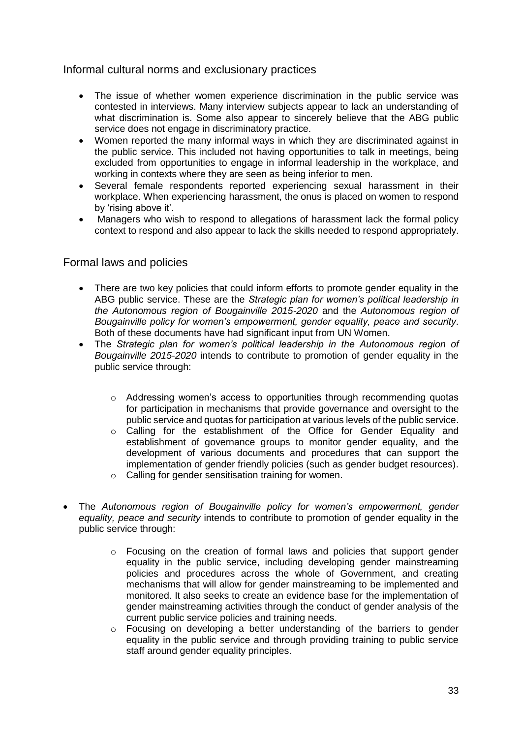#### Informal cultural norms and exclusionary practices

- The issue of whether women experience discrimination in the public service was contested in interviews. Many interview subjects appear to lack an understanding of what discrimination is. Some also appear to sincerely believe that the ABG public service does not engage in discriminatory practice.
- Women reported the many informal ways in which they are discriminated against in the public service. This included not having opportunities to talk in meetings, being excluded from opportunities to engage in informal leadership in the workplace, and working in contexts where they are seen as being inferior to men.
- Several female respondents reported experiencing sexual harassment in their workplace. When experiencing harassment, the onus is placed on women to respond by 'rising above it'.
- Managers who wish to respond to allegations of harassment lack the formal policy context to respond and also appear to lack the skills needed to respond appropriately.

#### Formal laws and policies

- There are two key policies that could inform efforts to promote gender equality in the ABG public service. These are the *Strategic plan for women's political leadership in the Autonomous region of Bougainville 2015-2020* and the *Autonomous region of Bougainville policy for women's empowerment, gender equality, peace and security*. Both of these documents have had significant input from UN Women.
- The *Strategic plan for women's political leadership in the Autonomous region of Bougainville 2015-2020* intends to contribute to promotion of gender equality in the public service through:
	- o Addressing women's access to opportunities through recommending quotas for participation in mechanisms that provide governance and oversight to the public service and quotas for participation at various levels of the public service.
	- o Calling for the establishment of the Office for Gender Equality and establishment of governance groups to monitor gender equality, and the development of various documents and procedures that can support the implementation of gender friendly policies (such as gender budget resources).
	- o Calling for gender sensitisation training for women.
- The *Autonomous region of Bougainville policy for women's empowerment, gender equality, peace and security* intends to contribute to promotion of gender equality in the public service through:
	- $\circ$  Focusing on the creation of formal laws and policies that support gender equality in the public service, including developing gender mainstreaming policies and procedures across the whole of Government, and creating mechanisms that will allow for gender mainstreaming to be implemented and monitored. It also seeks to create an evidence base for the implementation of gender mainstreaming activities through the conduct of gender analysis of the current public service policies and training needs.
	- o Focusing on developing a better understanding of the barriers to gender equality in the public service and through providing training to public service staff around gender equality principles.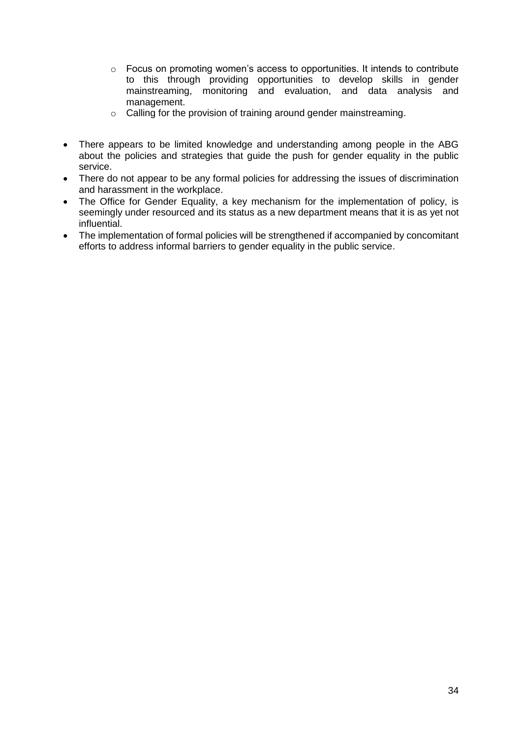- $\circ$  Focus on promoting women's access to opportunities. It intends to contribute to this through providing opportunities to develop skills in gender mainstreaming, monitoring and evaluation, and data analysis and management.
- o Calling for the provision of training around gender mainstreaming.
- There appears to be limited knowledge and understanding among people in the ABG about the policies and strategies that guide the push for gender equality in the public service.
- There do not appear to be any formal policies for addressing the issues of discrimination and harassment in the workplace.
- The Office for Gender Equality, a key mechanism for the implementation of policy, is seemingly under resourced and its status as a new department means that it is as yet not influential.
- The implementation of formal policies will be strengthened if accompanied by concomitant efforts to address informal barriers to gender equality in the public service.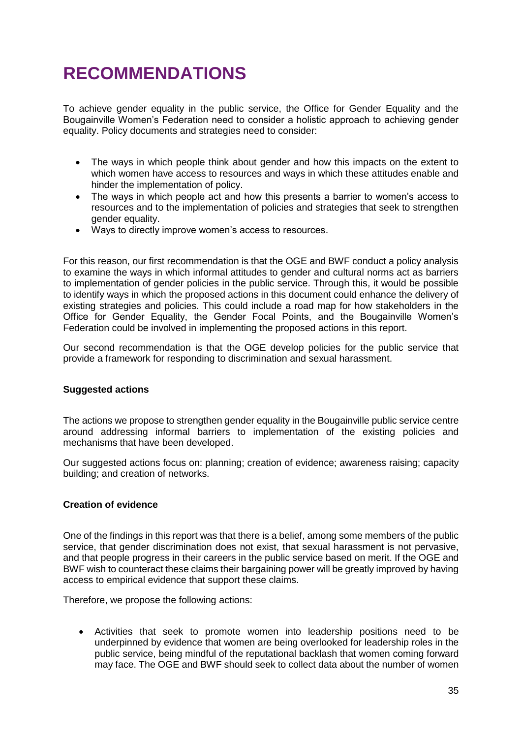## **RECOMMENDATIONS**

To achieve gender equality in the public service, the Office for Gender Equality and the Bougainville Women's Federation need to consider a holistic approach to achieving gender equality. Policy documents and strategies need to consider:

- The ways in which people think about gender and how this impacts on the extent to which women have access to resources and ways in which these attitudes enable and hinder the implementation of policy.
- The ways in which people act and how this presents a barrier to women's access to resources and to the implementation of policies and strategies that seek to strengthen gender equality.
- Ways to directly improve women's access to resources.

For this reason, our first recommendation is that the OGE and BWF conduct a policy analysis to examine the ways in which informal attitudes to gender and cultural norms act as barriers to implementation of gender policies in the public service. Through this, it would be possible to identify ways in which the proposed actions in this document could enhance the delivery of existing strategies and policies. This could include a road map for how stakeholders in the Office for Gender Equality, the Gender Focal Points, and the Bougainville Women's Federation could be involved in implementing the proposed actions in this report.

Our second recommendation is that the OGE develop policies for the public service that provide a framework for responding to discrimination and sexual harassment.

#### **Suggested actions**

The actions we propose to strengthen gender equality in the Bougainville public service centre around addressing informal barriers to implementation of the existing policies and mechanisms that have been developed.

Our suggested actions focus on: planning; creation of evidence; awareness raising; capacity building; and creation of networks.

#### **Creation of evidence**

One of the findings in this report was that there is a belief, among some members of the public service, that gender discrimination does not exist, that sexual harassment is not pervasive, and that people progress in their careers in the public service based on merit. If the OGE and BWF wish to counteract these claims their bargaining power will be greatly improved by having access to empirical evidence that support these claims.

Therefore, we propose the following actions:

 Activities that seek to promote women into leadership positions need to be underpinned by evidence that women are being overlooked for leadership roles in the public service, being mindful of the reputational backlash that women coming forward may face. The OGE and BWF should seek to collect data about the number of women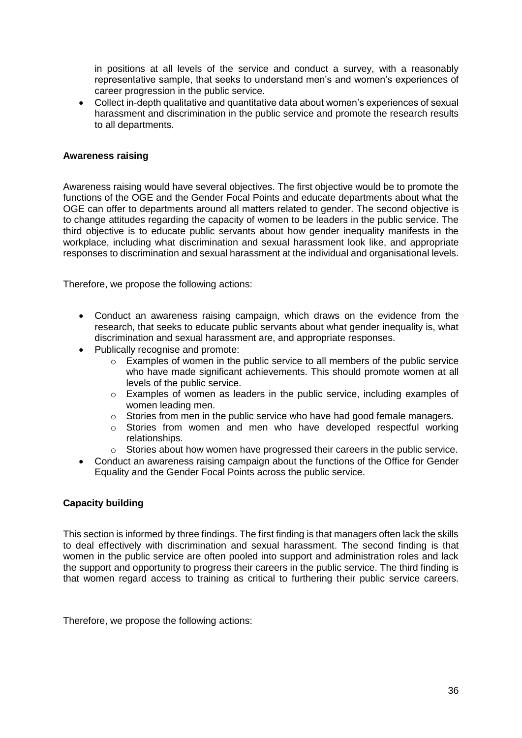in positions at all levels of the service and conduct a survey, with a reasonably representative sample, that seeks to understand men's and women's experiences of career progression in the public service.

 Collect in-depth qualitative and quantitative data about women's experiences of sexual harassment and discrimination in the public service and promote the research results to all departments.

#### **Awareness raising**

Awareness raising would have several objectives. The first objective would be to promote the functions of the OGE and the Gender Focal Points and educate departments about what the OGE can offer to departments around all matters related to gender. The second objective is to change attitudes regarding the capacity of women to be leaders in the public service. The third objective is to educate public servants about how gender inequality manifests in the workplace, including what discrimination and sexual harassment look like, and appropriate responses to discrimination and sexual harassment at the individual and organisational levels.

Therefore, we propose the following actions:

- Conduct an awareness raising campaign, which draws on the evidence from the research, that seeks to educate public servants about what gender inequality is, what discrimination and sexual harassment are, and appropriate responses.
- Publically recognise and promote:
	- o Examples of women in the public service to all members of the public service who have made significant achievements. This should promote women at all levels of the public service.
	- $\circ$  Examples of women as leaders in the public service, including examples of women leading men.
	- $\circ$  Stories from men in the public service who have had good female managers.
	- o Stories from women and men who have developed respectful working relationships.
	- $\circ$  Stories about how women have progressed their careers in the public service.
- Conduct an awareness raising campaign about the functions of the Office for Gender Equality and the Gender Focal Points across the public service.

#### **Capacity building**

This section is informed by three findings. The first finding is that managers often lack the skills to deal effectively with discrimination and sexual harassment. The second finding is that women in the public service are often pooled into support and administration roles and lack the support and opportunity to progress their careers in the public service. The third finding is that women regard access to training as critical to furthering their public service careers.

Therefore, we propose the following actions: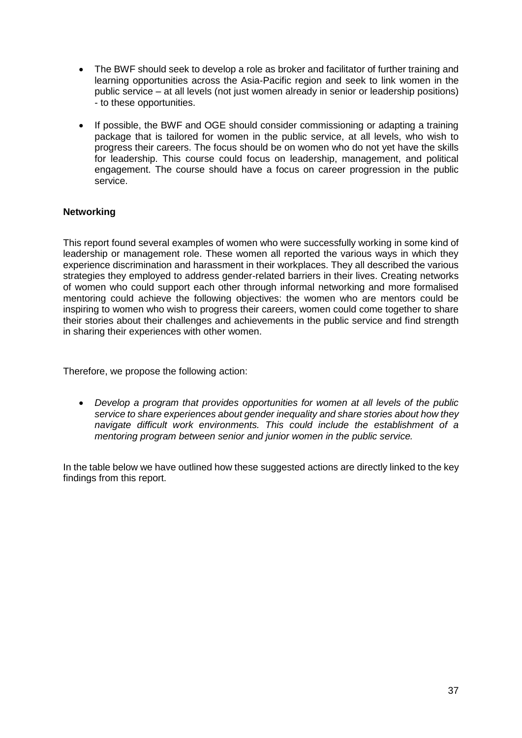- The BWF should seek to develop a role as broker and facilitator of further training and learning opportunities across the Asia-Pacific region and seek to link women in the public service – at all levels (not just women already in senior or leadership positions) - to these opportunities.
- If possible, the BWF and OGE should consider commissioning or adapting a training package that is tailored for women in the public service, at all levels, who wish to progress their careers. The focus should be on women who do not yet have the skills for leadership. This course could focus on leadership, management, and political engagement. The course should have a focus on career progression in the public service.

#### **Networking**

This report found several examples of women who were successfully working in some kind of leadership or management role. These women all reported the various ways in which they experience discrimination and harassment in their workplaces. They all described the various strategies they employed to address gender-related barriers in their lives. Creating networks of women who could support each other through informal networking and more formalised mentoring could achieve the following objectives: the women who are mentors could be inspiring to women who wish to progress their careers, women could come together to share their stories about their challenges and achievements in the public service and find strength in sharing their experiences with other women.

Therefore, we propose the following action:

 *Develop a program that provides opportunities for women at all levels of the public service to share experiences about gender inequality and share stories about how they navigate difficult work environments. This could include the establishment of a mentoring program between senior and junior women in the public service.*

In the table below we have outlined how these suggested actions are directly linked to the key findings from this report.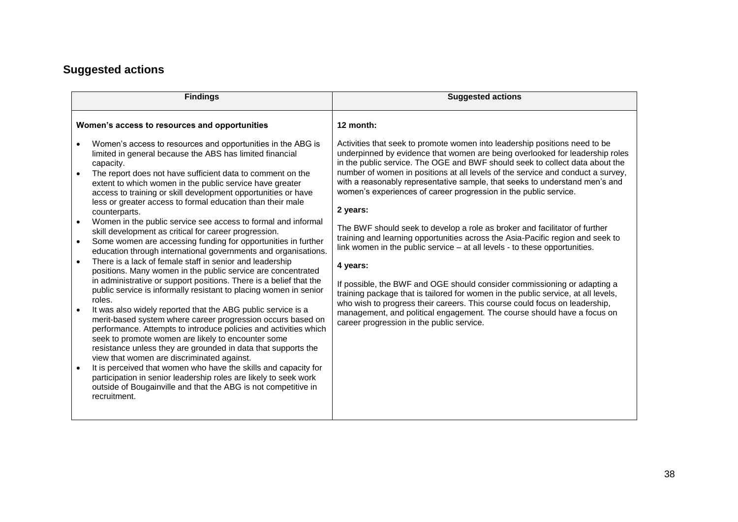### **Suggested actions**

| <b>Findings</b>                                                                                                                                                                                                                                                                                                                                                                                                                                                                                                                                                                                                                                                                                                                                                                                                                                                                                                                                                                                                                                                                                                                                                                                                                                                                                                                                                                                                                                                                                                                                                            | <b>Suggested actions</b>                                                                                                                                                                                                                                                                                                                                                                                                                                                                                                                                                                                                                                                                                                                                                                                                                                                                                                                                                                                                                                                                                                      |
|----------------------------------------------------------------------------------------------------------------------------------------------------------------------------------------------------------------------------------------------------------------------------------------------------------------------------------------------------------------------------------------------------------------------------------------------------------------------------------------------------------------------------------------------------------------------------------------------------------------------------------------------------------------------------------------------------------------------------------------------------------------------------------------------------------------------------------------------------------------------------------------------------------------------------------------------------------------------------------------------------------------------------------------------------------------------------------------------------------------------------------------------------------------------------------------------------------------------------------------------------------------------------------------------------------------------------------------------------------------------------------------------------------------------------------------------------------------------------------------------------------------------------------------------------------------------------|-------------------------------------------------------------------------------------------------------------------------------------------------------------------------------------------------------------------------------------------------------------------------------------------------------------------------------------------------------------------------------------------------------------------------------------------------------------------------------------------------------------------------------------------------------------------------------------------------------------------------------------------------------------------------------------------------------------------------------------------------------------------------------------------------------------------------------------------------------------------------------------------------------------------------------------------------------------------------------------------------------------------------------------------------------------------------------------------------------------------------------|
| Women's access to resources and opportunities                                                                                                                                                                                                                                                                                                                                                                                                                                                                                                                                                                                                                                                                                                                                                                                                                                                                                                                                                                                                                                                                                                                                                                                                                                                                                                                                                                                                                                                                                                                              | 12 month:                                                                                                                                                                                                                                                                                                                                                                                                                                                                                                                                                                                                                                                                                                                                                                                                                                                                                                                                                                                                                                                                                                                     |
| Women's access to resources and opportunities in the ABG is<br>limited in general because the ABS has limited financial<br>capacity.<br>The report does not have sufficient data to comment on the<br>extent to which women in the public service have greater<br>access to training or skill development opportunities or have<br>less or greater access to formal education than their male<br>counterparts.<br>Women in the public service see access to formal and informal<br>skill development as critical for career progression.<br>Some women are accessing funding for opportunities in further<br>$\bullet$<br>education through international governments and organisations.<br>There is a lack of female staff in senior and leadership<br>positions. Many women in the public service are concentrated<br>in administrative or support positions. There is a belief that the<br>public service is informally resistant to placing women in senior<br>roles.<br>It was also widely reported that the ABG public service is a<br>merit-based system where career progression occurs based on<br>performance. Attempts to introduce policies and activities which<br>seek to promote women are likely to encounter some<br>resistance unless they are grounded in data that supports the<br>view that women are discriminated against.<br>It is perceived that women who have the skills and capacity for<br>participation in senior leadership roles are likely to seek work<br>outside of Bougainville and that the ABG is not competitive in<br>recruitment. | Activities that seek to promote women into leadership positions need to be<br>underpinned by evidence that women are being overlooked for leadership roles<br>in the public service. The OGE and BWF should seek to collect data about the<br>number of women in positions at all levels of the service and conduct a survey,<br>with a reasonably representative sample, that seeks to understand men's and<br>women's experiences of career progression in the public service.<br>2 years:<br>The BWF should seek to develop a role as broker and facilitator of further<br>training and learning opportunities across the Asia-Pacific region and seek to<br>link women in the public service – at all levels - to these opportunities.<br>4 years:<br>If possible, the BWF and OGE should consider commissioning or adapting a<br>training package that is tailored for women in the public service, at all levels,<br>who wish to progress their careers. This course could focus on leadership,<br>management, and political engagement. The course should have a focus on<br>career progression in the public service. |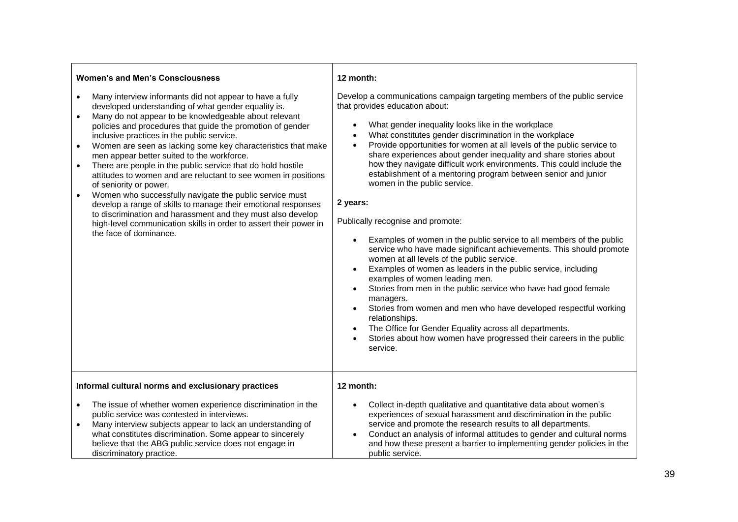| <b>Women's and Men's Consciousness</b>                                                                                                                                                                                                                                                                                                                                                                                                                                                                                                                                                                                                                                                                                                                                                                                                                                                         | 12 month:                                                                                                                                                                                                                                                                                                                                                                                                                                                                                                                                                                                                                                                                                                                                                                                                                                                                                                                                                                                                                                                                                                                                                                                                                                                                                                                                       |
|------------------------------------------------------------------------------------------------------------------------------------------------------------------------------------------------------------------------------------------------------------------------------------------------------------------------------------------------------------------------------------------------------------------------------------------------------------------------------------------------------------------------------------------------------------------------------------------------------------------------------------------------------------------------------------------------------------------------------------------------------------------------------------------------------------------------------------------------------------------------------------------------|-------------------------------------------------------------------------------------------------------------------------------------------------------------------------------------------------------------------------------------------------------------------------------------------------------------------------------------------------------------------------------------------------------------------------------------------------------------------------------------------------------------------------------------------------------------------------------------------------------------------------------------------------------------------------------------------------------------------------------------------------------------------------------------------------------------------------------------------------------------------------------------------------------------------------------------------------------------------------------------------------------------------------------------------------------------------------------------------------------------------------------------------------------------------------------------------------------------------------------------------------------------------------------------------------------------------------------------------------|
| Many interview informants did not appear to have a fully<br>developed understanding of what gender equality is.<br>Many do not appear to be knowledgeable about relevant<br>$\bullet$<br>policies and procedures that guide the promotion of gender<br>inclusive practices in the public service.<br>Women are seen as lacking some key characteristics that make<br>$\bullet$<br>men appear better suited to the workforce.<br>There are people in the public service that do hold hostile<br>$\bullet$<br>attitudes to women and are reluctant to see women in positions<br>of seniority or power.<br>Women who successfully navigate the public service must<br>develop a range of skills to manage their emotional responses<br>to discrimination and harassment and they must also develop<br>high-level communication skills in order to assert their power in<br>the face of dominance. | Develop a communications campaign targeting members of the public service<br>that provides education about:<br>What gender inequality looks like in the workplace<br>$\bullet$<br>What constitutes gender discrimination in the workplace<br>$\bullet$<br>Provide opportunities for women at all levels of the public service to<br>$\bullet$<br>share experiences about gender inequality and share stories about<br>how they navigate difficult work environments. This could include the<br>establishment of a mentoring program between senior and junior<br>women in the public service.<br>2 years:<br>Publically recognise and promote:<br>Examples of women in the public service to all members of the public<br>$\bullet$<br>service who have made significant achievements. This should promote<br>women at all levels of the public service.<br>Examples of women as leaders in the public service, including<br>$\bullet$<br>examples of women leading men.<br>Stories from men in the public service who have had good female<br>$\bullet$<br>managers.<br>Stories from women and men who have developed respectful working<br>$\bullet$<br>relationships.<br>The Office for Gender Equality across all departments.<br>$\bullet$<br>Stories about how women have progressed their careers in the public<br>$\bullet$<br>service. |
| Informal cultural norms and exclusionary practices                                                                                                                                                                                                                                                                                                                                                                                                                                                                                                                                                                                                                                                                                                                                                                                                                                             | 12 month:                                                                                                                                                                                                                                                                                                                                                                                                                                                                                                                                                                                                                                                                                                                                                                                                                                                                                                                                                                                                                                                                                                                                                                                                                                                                                                                                       |
| The issue of whether women experience discrimination in the<br>$\bullet$<br>public service was contested in interviews.<br>Many interview subjects appear to lack an understanding of<br>what constitutes discrimination. Some appear to sincerely<br>believe that the ABG public service does not engage in<br>discriminatory practice.                                                                                                                                                                                                                                                                                                                                                                                                                                                                                                                                                       | Collect in-depth qualitative and quantitative data about women's<br>$\bullet$<br>experiences of sexual harassment and discrimination in the public<br>service and promote the research results to all departments.<br>Conduct an analysis of informal attitudes to gender and cultural norms<br>$\bullet$<br>and how these present a barrier to implementing gender policies in the<br>public service.                                                                                                                                                                                                                                                                                                                                                                                                                                                                                                                                                                                                                                                                                                                                                                                                                                                                                                                                          |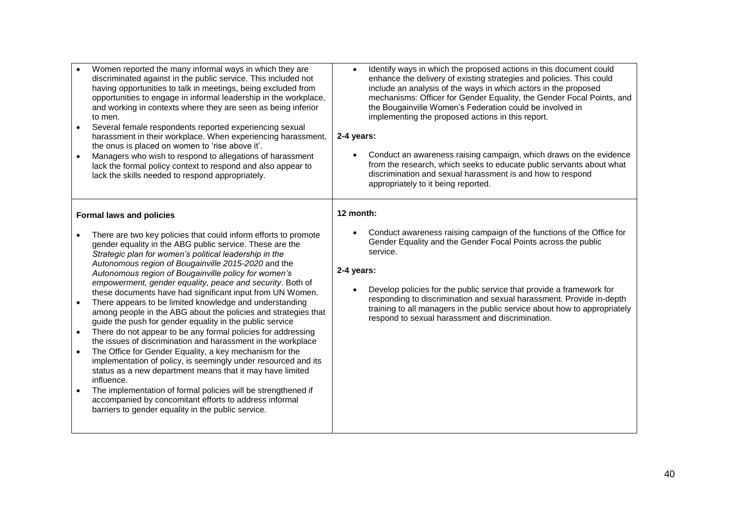| Women reported the many informal ways in which they are<br>discriminated against in the public service. This included not<br>having opportunities to talk in meetings, being excluded from<br>opportunities to engage in informal leadership in the workplace,<br>and working in contexts where they are seen as being inferior<br>to men.<br>Several female respondents reported experiencing sexual<br>harassment in their workplace. When experiencing harassment,<br>the onus is placed on women to 'rise above it'.<br>Managers who wish to respond to allegations of harassment<br>lack the formal policy context to respond and also appear to<br>lack the skills needed to respond appropriately.                                                                                                                                                                                                                                                                                                                                                                                                                                                                                        | Identify ways in which the proposed actions in this document could<br>$\bullet$<br>enhance the delivery of existing strategies and policies. This could<br>include an analysis of the ways in which actors in the proposed<br>mechanisms: Officer for Gender Equality, the Gender Focal Points, and<br>the Bougainville Women's Federation could be involved in<br>implementing the proposed actions in this report.<br>2-4 years:<br>Conduct an awareness raising campaign, which draws on the evidence<br>$\bullet$<br>from the research, which seeks to educate public servants about what<br>discrimination and sexual harassment is and how to respond<br>appropriately to it being reported. |
|--------------------------------------------------------------------------------------------------------------------------------------------------------------------------------------------------------------------------------------------------------------------------------------------------------------------------------------------------------------------------------------------------------------------------------------------------------------------------------------------------------------------------------------------------------------------------------------------------------------------------------------------------------------------------------------------------------------------------------------------------------------------------------------------------------------------------------------------------------------------------------------------------------------------------------------------------------------------------------------------------------------------------------------------------------------------------------------------------------------------------------------------------------------------------------------------------|----------------------------------------------------------------------------------------------------------------------------------------------------------------------------------------------------------------------------------------------------------------------------------------------------------------------------------------------------------------------------------------------------------------------------------------------------------------------------------------------------------------------------------------------------------------------------------------------------------------------------------------------------------------------------------------------------|
| <b>Formal laws and policies</b><br>There are two key policies that could inform efforts to promote<br>gender equality in the ABG public service. These are the<br>Strategic plan for women's political leadership in the<br>Autonomous region of Bougainville 2015-2020 and the<br>Autonomous region of Bougainville policy for women's<br>empowerment, gender equality, peace and security. Both of<br>these documents have had significant input from UN Women.<br>There appears to be limited knowledge and understanding<br>among people in the ABG about the policies and strategies that<br>guide the push for gender equality in the public service<br>There do not appear to be any formal policies for addressing<br>the issues of discrimination and harassment in the workplace<br>The Office for Gender Equality, a key mechanism for the<br>$\bullet$<br>implementation of policy, is seemingly under resourced and its<br>status as a new department means that it may have limited<br>influence.<br>The implementation of formal policies will be strengthened if<br>accompanied by concomitant efforts to address informal<br>barriers to gender equality in the public service. | 12 month:<br>Conduct awareness raising campaign of the functions of the Office for<br>Gender Equality and the Gender Focal Points across the public<br>service.<br>2-4 years:<br>Develop policies for the public service that provide a framework for<br>responding to discrimination and sexual harassment. Provide in-depth<br>training to all managers in the public service about how to appropriately<br>respond to sexual harassment and discrimination.                                                                                                                                                                                                                                     |